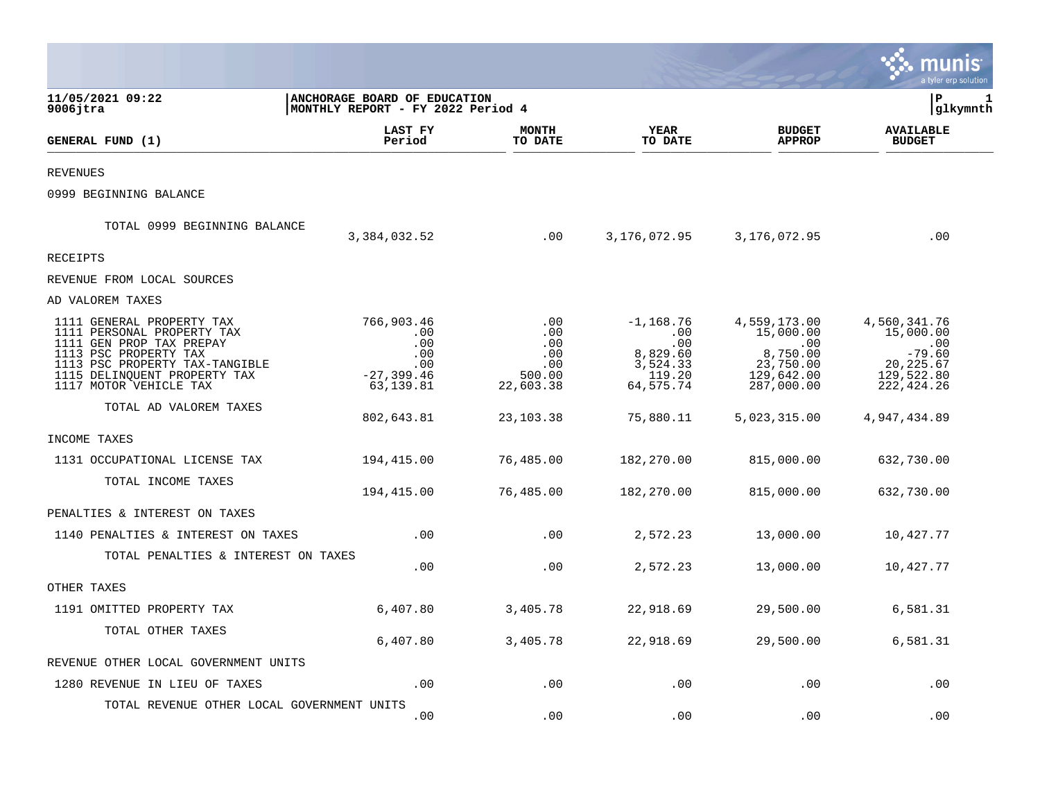|                                                                                                                                                                                                          |                                                                      |                                                             |                                                                          |                                                                                       | a tyler erp solution                                                                           |   |
|----------------------------------------------------------------------------------------------------------------------------------------------------------------------------------------------------------|----------------------------------------------------------------------|-------------------------------------------------------------|--------------------------------------------------------------------------|---------------------------------------------------------------------------------------|------------------------------------------------------------------------------------------------|---|
| 11/05/2021 09:22<br>9006jtra                                                                                                                                                                             | ANCHORAGE BOARD OF EDUCATION<br>MONTHLY REPORT - FY 2022 Period 4    |                                                             |                                                                          |                                                                                       | l P<br> glkymnth                                                                               | 1 |
| GENERAL FUND (1)                                                                                                                                                                                         | LAST FY<br>Period                                                    | <b>MONTH</b><br>TO DATE                                     | <b>YEAR</b><br>TO DATE                                                   | <b>BUDGET</b><br><b>APPROP</b>                                                        | <b>AVAILABLE</b><br><b>BUDGET</b>                                                              |   |
| <b>REVENUES</b>                                                                                                                                                                                          |                                                                      |                                                             |                                                                          |                                                                                       |                                                                                                |   |
| 0999 BEGINNING BALANCE                                                                                                                                                                                   |                                                                      |                                                             |                                                                          |                                                                                       |                                                                                                |   |
| TOTAL 0999 BEGINNING BALANCE                                                                                                                                                                             | 3,384,032.52                                                         | .00                                                         | 3,176,072.95                                                             | 3,176,072.95                                                                          | .00                                                                                            |   |
| RECEIPTS                                                                                                                                                                                                 |                                                                      |                                                             |                                                                          |                                                                                       |                                                                                                |   |
| REVENUE FROM LOCAL SOURCES                                                                                                                                                                               |                                                                      |                                                             |                                                                          |                                                                                       |                                                                                                |   |
| AD VALOREM TAXES                                                                                                                                                                                         |                                                                      |                                                             |                                                                          |                                                                                       |                                                                                                |   |
| 1111 GENERAL PROPERTY TAX<br>1111 PERSONAL PROPERTY TAX<br>1111 GEN PROP TAX PREPAY<br>1113 PSC PROPERTY TAX<br>1113 PSC PROPERTY TAX-TANGIBLE<br>1115 DELINQUENT PROPERTY TAX<br>1117 MOTOR VEHICLE TAX | 766,903.46<br>.00<br>.00<br>.00<br>.00<br>$-27, 399.46$<br>63,139.81 | $.00 \,$<br>.00<br>.00<br>.00<br>.00<br>500.00<br>22,603.38 | $-1,168.76$<br>.00<br>.00<br>8,829.60<br>3,524.33<br>119.20<br>64,575.74 | 4,559,173.00<br>15,000.00<br>.00<br>8,750.00<br>23,750.00<br>129,642.00<br>287,000.00 | 4,560,341.76<br>15,000.00<br>$\cdot$ 00<br>$-79.60$<br>20, 225.67<br>129,522.80<br>222, 424.26 |   |
| TOTAL AD VALOREM TAXES                                                                                                                                                                                   | 802,643.81                                                           | 23,103.38                                                   | 75,880.11                                                                | 5,023,315.00                                                                          | 4,947,434.89                                                                                   |   |
| INCOME TAXES                                                                                                                                                                                             |                                                                      |                                                             |                                                                          |                                                                                       |                                                                                                |   |
| 1131 OCCUPATIONAL LICENSE TAX                                                                                                                                                                            | 194,415.00                                                           | 76,485.00                                                   | 182,270.00                                                               | 815,000.00                                                                            | 632,730.00                                                                                     |   |
| TOTAL INCOME TAXES                                                                                                                                                                                       | 194,415.00                                                           | 76,485.00                                                   | 182,270.00                                                               | 815,000.00                                                                            | 632,730.00                                                                                     |   |
| PENALTIES & INTEREST ON TAXES                                                                                                                                                                            |                                                                      |                                                             |                                                                          |                                                                                       |                                                                                                |   |
| 1140 PENALTIES & INTEREST ON TAXES                                                                                                                                                                       | .00                                                                  | .00                                                         | 2,572.23                                                                 | 13,000.00                                                                             | 10,427.77                                                                                      |   |
| TOTAL PENALTIES & INTEREST ON TAXES                                                                                                                                                                      | .00                                                                  | .00                                                         | 2,572.23                                                                 | 13,000.00                                                                             | 10,427.77                                                                                      |   |
| OTHER TAXES                                                                                                                                                                                              |                                                                      |                                                             |                                                                          |                                                                                       |                                                                                                |   |
| 1191 OMITTED PROPERTY TAX                                                                                                                                                                                | 6,407.80                                                             | 3,405.78                                                    | 22,918.69                                                                | 29,500.00                                                                             | 6,581.31                                                                                       |   |
| TOTAL OTHER TAXES                                                                                                                                                                                        | 6,407.80                                                             | 3,405.78                                                    | 22,918.69                                                                | 29,500.00                                                                             | 6,581.31                                                                                       |   |
| REVENUE OTHER LOCAL GOVERNMENT UNITS                                                                                                                                                                     |                                                                      |                                                             |                                                                          |                                                                                       |                                                                                                |   |
| 1280 REVENUE IN LIEU OF TAXES                                                                                                                                                                            | .00                                                                  | .00                                                         | .00                                                                      | .00                                                                                   | .00                                                                                            |   |
| TOTAL REVENUE OTHER LOCAL GOVERNMENT UNITS                                                                                                                                                               | .00                                                                  | .00                                                         | .00                                                                      | .00                                                                                   | .00                                                                                            |   |

 $\mathcal{L}^{\text{max}}$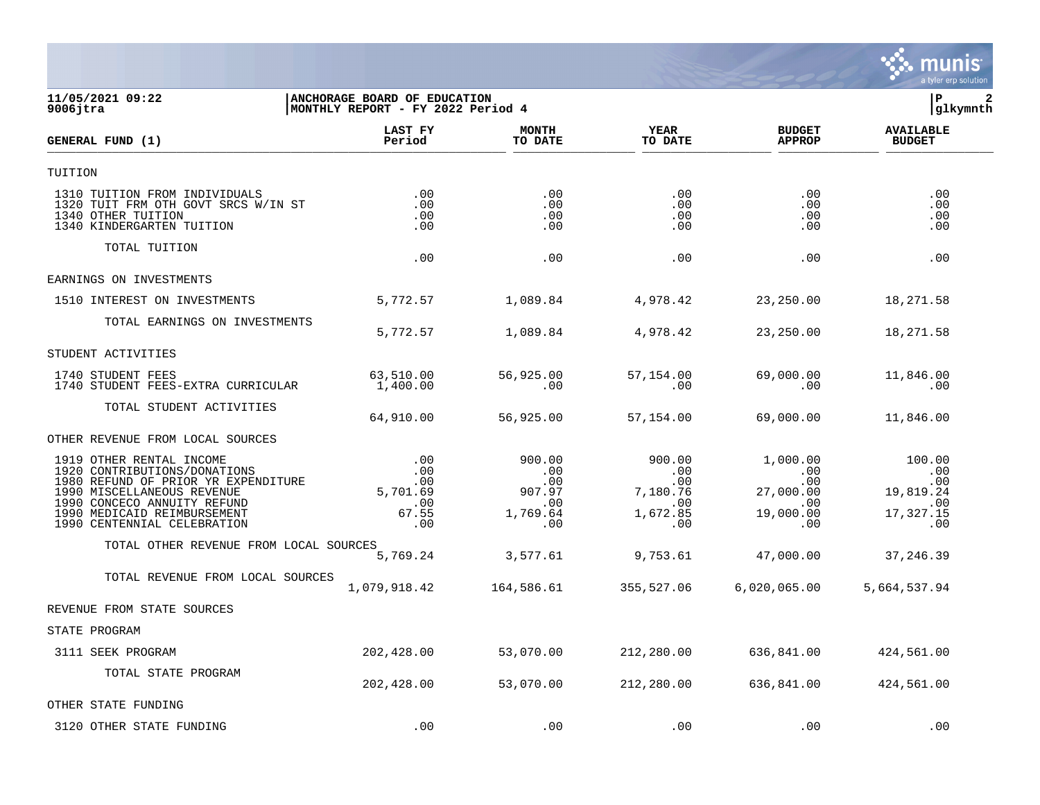

## **11/05/2021 09:22 |ANCHORAGE BOARD OF EDUCATION |P 2 9006jtra |MONTHLY REPORT - FY 2022 Period 4 |glkymnth**

| GENERAL FUND (1)                                                                                                                                                                                                           | LAST FY<br>Period                                    | <b>MONTH</b><br>TO DATE                                  | <b>YEAR</b><br>TO DATE                                     | <b>BUDGET</b><br><b>APPROP</b>                                           | <b>AVAILABLE</b><br><b>BUDGET</b>                            |  |
|----------------------------------------------------------------------------------------------------------------------------------------------------------------------------------------------------------------------------|------------------------------------------------------|----------------------------------------------------------|------------------------------------------------------------|--------------------------------------------------------------------------|--------------------------------------------------------------|--|
| TUITION                                                                                                                                                                                                                    |                                                      |                                                          |                                                            |                                                                          |                                                              |  |
| 1310 TUITION FROM INDIVIDUALS<br>1320 TUIT FRM OTH GOVT SRCS W/IN ST<br>1340 OTHER TUITION<br>1340 KINDERGARTEN TUITION                                                                                                    | .00<br>.00<br>.00<br>.00                             | .00<br>.00<br>.00<br>.00                                 | .00<br>.00<br>.00<br>.00                                   | .00<br>$.00 \,$<br>.00<br>.00                                            | .00<br>.00<br>.00<br>.00                                     |  |
| TOTAL TUITION                                                                                                                                                                                                              | .00                                                  | .00                                                      | .00.                                                       | .00                                                                      | .00                                                          |  |
| EARNINGS ON INVESTMENTS                                                                                                                                                                                                    |                                                      |                                                          |                                                            |                                                                          |                                                              |  |
| 1510 INTEREST ON INVESTMENTS                                                                                                                                                                                               | 5,772.57                                             | 1,089.84                                                 | 4,978.42                                                   | 23,250.00                                                                | 18,271.58                                                    |  |
| TOTAL EARNINGS ON INVESTMENTS                                                                                                                                                                                              | 5,772.57                                             | 1,089.84                                                 | 4,978.42                                                   | 23,250.00                                                                | 18,271.58                                                    |  |
| STUDENT ACTIVITIES                                                                                                                                                                                                         |                                                      |                                                          |                                                            |                                                                          |                                                              |  |
| 1740 STUDENT FEES<br>1740 STUDENT FEES-EXTRA CURRICULAR                                                                                                                                                                    | 63,510.00<br>1,400.00                                | 56,925.00<br>.00                                         | 57,154.00<br>.00                                           | 69,000.00<br>$.00 \,$                                                    | 11,846.00<br>.00                                             |  |
| TOTAL STUDENT ACTIVITIES                                                                                                                                                                                                   | 64,910.00                                            | 56,925.00                                                | 57,154.00                                                  | 69,000.00                                                                | 11,846.00                                                    |  |
| OTHER REVENUE FROM LOCAL SOURCES                                                                                                                                                                                           |                                                      |                                                          |                                                            |                                                                          |                                                              |  |
| 1919 OTHER RENTAL INCOME<br>1920 CONTRIBUTIONS/DONATIONS<br>1980 REFUND OF PRIOR YR EXPENDITURE<br>1990 MISCELLANEOUS REVENUE<br>1990 CONCECO ANNUITY REFUND<br>1990 MEDICAID REIMBURSEMENT<br>1990 CENTENNIAL CELEBRATION | .00<br>.00<br>.00<br>5,701.69<br>.00<br>67.55<br>.00 | 900.00<br>.00<br>.00<br>907.97<br>.00<br>1,769.64<br>.00 | 900.00<br>.00<br>.00<br>7,180.76<br>.00<br>1,672.85<br>.00 | 1,000.00<br>.00<br>$.00 \,$<br>27,000.00<br>$.00 \,$<br>19,000.00<br>.00 | 100.00<br>.00<br>.00<br>19,819.24<br>.00<br>17,327.15<br>.00 |  |
| TOTAL OTHER REVENUE FROM LOCAL SOURCES                                                                                                                                                                                     | 5,769.24                                             | 3,577.61                                                 | 9,753.61                                                   | 47,000.00                                                                | 37,246.39                                                    |  |
| TOTAL REVENUE FROM LOCAL SOURCES                                                                                                                                                                                           | 1,079,918.42                                         | 164,586.61                                               | 355,527.06                                                 | 6,020,065.00                                                             | 5,664,537.94                                                 |  |
| REVENUE FROM STATE SOURCES                                                                                                                                                                                                 |                                                      |                                                          |                                                            |                                                                          |                                                              |  |
| STATE PROGRAM                                                                                                                                                                                                              |                                                      |                                                          |                                                            |                                                                          |                                                              |  |
| 3111 SEEK PROGRAM                                                                                                                                                                                                          | 202,428.00                                           | 53,070.00                                                | 212,280.00                                                 | 636,841.00                                                               | 424,561.00                                                   |  |
| TOTAL STATE PROGRAM                                                                                                                                                                                                        | 202,428.00                                           | 53,070.00                                                | 212,280.00                                                 | 636,841.00                                                               | 424,561.00                                                   |  |
| OTHER STATE FUNDING                                                                                                                                                                                                        |                                                      |                                                          |                                                            |                                                                          |                                                              |  |
| 3120 OTHER STATE FUNDING                                                                                                                                                                                                   | .00                                                  | .00                                                      | .00                                                        | .00                                                                      | .00                                                          |  |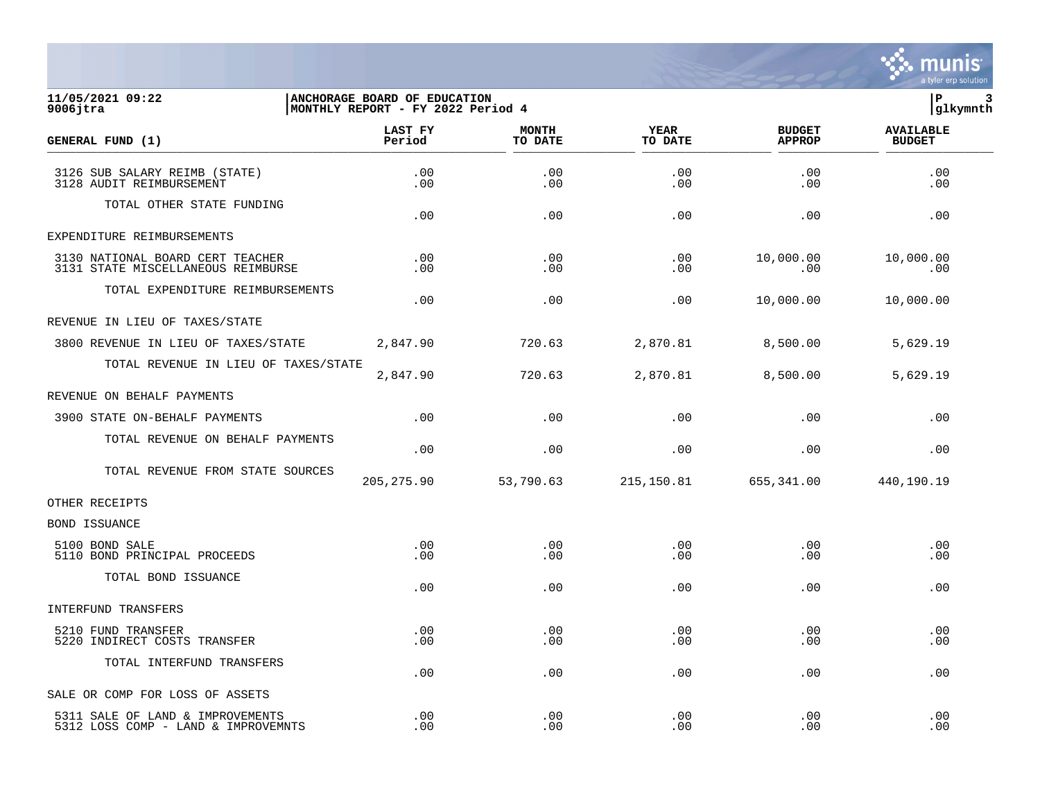

## **11/05/2021 09:22 |ANCHORAGE BOARD OF EDUCATION |P 3 9006jtra |MONTHLY REPORT - FY 2022 Period 4 |glkymnth**

| GENERAL FUND (1)                                                        | LAST FY<br>Period | <b>MONTH</b><br>TO DATE | <b>YEAR</b><br>TO DATE | <b>BUDGET</b><br><b>APPROP</b> | <b>AVAILABLE</b><br><b>BUDGET</b> |  |
|-------------------------------------------------------------------------|-------------------|-------------------------|------------------------|--------------------------------|-----------------------------------|--|
| 3126 SUB SALARY REIMB (STATE)<br>3128 AUDIT REIMBURSEMENT               | .00<br>.00        | .00<br>.00              | .00<br>.00             | .00<br>.00                     | .00<br>.00                        |  |
| TOTAL OTHER STATE FUNDING                                               | .00               | .00                     | .00                    | .00                            | .00                               |  |
| EXPENDITURE REIMBURSEMENTS                                              |                   |                         |                        |                                |                                   |  |
| 3130 NATIONAL BOARD CERT TEACHER<br>3131 STATE MISCELLANEOUS REIMBURSE  | .00<br>.00        | .00<br>.00              | .00<br>.00             | 10,000.00<br>.00               | 10,000.00<br>.00                  |  |
| TOTAL EXPENDITURE REIMBURSEMENTS                                        | .00               | .00                     | .00                    | 10,000.00                      | 10,000.00                         |  |
| REVENUE IN LIEU OF TAXES/STATE                                          |                   |                         |                        |                                |                                   |  |
| 3800 REVENUE IN LIEU OF TAXES/STATE                                     | 2,847.90          | 720.63                  | 2,870.81               | 8,500.00                       | 5,629.19                          |  |
| TOTAL REVENUE IN LIEU OF TAXES/STATE                                    | 2,847.90          | 720.63                  | 2,870.81               | 8,500.00                       | 5,629.19                          |  |
| REVENUE ON BEHALF PAYMENTS                                              |                   |                         |                        |                                |                                   |  |
| 3900 STATE ON-BEHALF PAYMENTS                                           | .00               | .00                     | .00                    | .00                            | .00                               |  |
| TOTAL REVENUE ON BEHALF PAYMENTS                                        | .00               | .00                     | .00                    | .00                            | .00                               |  |
| TOTAL REVENUE FROM STATE SOURCES                                        | 205, 275.90       | 53,790.63               | 215,150.81             | 655,341.00                     | 440,190.19                        |  |
| OTHER RECEIPTS                                                          |                   |                         |                        |                                |                                   |  |
| <b>BOND ISSUANCE</b>                                                    |                   |                         |                        |                                |                                   |  |
| 5100 BOND SALE<br>5110 BOND PRINCIPAL PROCEEDS                          | .00<br>.00        | .00<br>.00              | .00<br>.00             | .00<br>.00                     | .00<br>.00                        |  |
| TOTAL BOND ISSUANCE                                                     | .00               | .00                     | .00                    | .00                            | .00                               |  |
| INTERFUND TRANSFERS                                                     |                   |                         |                        |                                |                                   |  |
| 5210 FUND TRANSFER<br>5220 INDIRECT COSTS TRANSFER                      | .00<br>.00        | .00<br>.00              | .00<br>.00             | .00<br>.00                     | .00<br>.00                        |  |
| TOTAL INTERFUND TRANSFERS                                               | .00               | .00                     | .00                    | .00                            | .00                               |  |
| SALE OR COMP FOR LOSS OF ASSETS                                         |                   |                         |                        |                                |                                   |  |
| 5311 SALE OF LAND & IMPROVEMENTS<br>5312 LOSS COMP - LAND & IMPROVEMNTS | .00<br>.00        | .00<br>.00              | .00<br>.00             | .00<br>.00                     | .00<br>.00                        |  |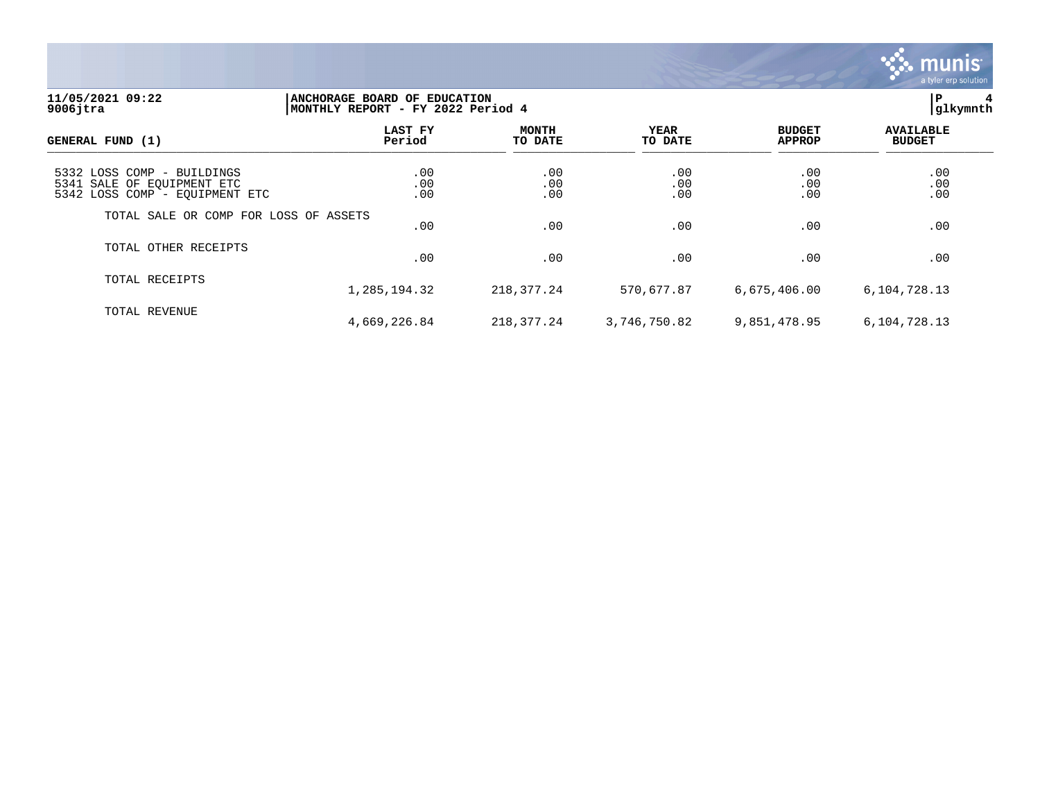

## **11/05/2021 09:22 |ANCHORAGE BOARD OF EDUCATION |P 4 9006jtra |MONTHLY REPORT - FY 2022 Period 4 |glkymnth**

| GENERAL FUND (1)                                                                           | LAST FY<br>Period | <b>MONTH</b><br>TO DATE | YEAR<br>TO DATE   | <b>BUDGET</b><br><b>APPROP</b> | <b>AVAILABLE</b><br><b>BUDGET</b> |  |
|--------------------------------------------------------------------------------------------|-------------------|-------------------------|-------------------|--------------------------------|-----------------------------------|--|
| 5332 LOSS COMP - BUILDINGS<br>5341 SALE OF EQUIPMENT ETC<br>5342 LOSS COMP - EQUIPMENT ETC | .00<br>.00<br>.00 | .00<br>.00<br>.00       | .00<br>.00<br>.00 | .00<br>.00<br>.00              | .00<br>.00<br>.00                 |  |
| TOTAL SALE OR COMP FOR LOSS OF ASSETS                                                      | .00               | .00                     | .00               | .00                            | .00                               |  |
| TOTAL OTHER RECEIPTS                                                                       | .00               | .00                     | .00               | .00                            | .00                               |  |
| TOTAL RECEIPTS                                                                             | 1,285,194.32      | 218, 377. 24            | 570,677.87        | 6,675,406.00                   | 6,104,728.13                      |  |
| TOTAL REVENUE                                                                              | 4,669,226.84      | 218,377.24              | 3,746,750.82      | 9,851,478.95                   | 6,104,728.13                      |  |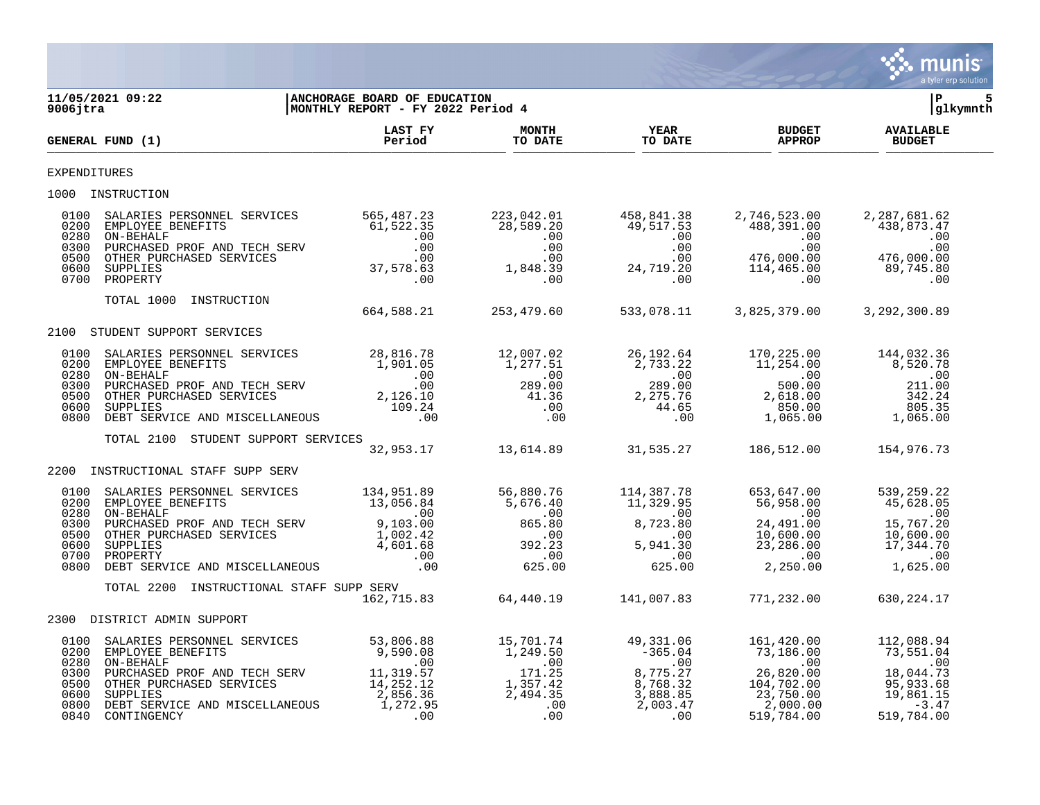

| $9006$ jtra                                  | 11/05/2021 09:22                                                                                                                                                                                                                                                                           | ANCHORAGE BOARD OF EDUCATION<br>MONTHLY REPORT - FY 2022 Period 4 |                                                              |                               |                                | lР<br> glkymnth                   |  |
|----------------------------------------------|--------------------------------------------------------------------------------------------------------------------------------------------------------------------------------------------------------------------------------------------------------------------------------------------|-------------------------------------------------------------------|--------------------------------------------------------------|-------------------------------|--------------------------------|-----------------------------------|--|
|                                              | GENERAL FUND (1)                                                                                                                                                                                                                                                                           | <b>LAST FY</b><br>Period                                          | <b>MONTH</b>                                                 | MONTH YEAR<br>TO DATE TO DATE | <b>BUDGET</b><br><b>APPROP</b> | <b>AVAILABLE</b><br><b>BUDGET</b> |  |
| <b>EXPENDITURES</b>                          |                                                                                                                                                                                                                                                                                            |                                                                   |                                                              |                               |                                |                                   |  |
|                                              | 1000 INSTRUCTION                                                                                                                                                                                                                                                                           |                                                                   |                                                              |                               |                                |                                   |  |
| 0100<br>0200<br>0280<br>0300<br>0500<br>0600 | 3ALARIES PERSONNEL SERVICES 565,487.23<br>EMPLOYEE BENEFITS 61,522.35 223,042.01 458,841.38 2,746,523.00 2,287,681.62<br>ON-BEHALF .00 .00 .00 .00 .00 .00<br>PURCHASED PROF AND TECH SERV .00 .00 .00 .00 .00 .00 .00 .00 .00<br>OTHE<br>0700 PROPERTY                                    |                                                                   |                                                              |                               |                                |                                   |  |
|                                              | TOTAL 1000 INSTRUCTION                                                                                                                                                                                                                                                                     |                                                                   | $664,588.21$ 253,479.60 533,078.11 3,825,379.00 3,292,300.89 |                               |                                |                                   |  |
|                                              | 2100 STUDENT SUPPORT SERVICES                                                                                                                                                                                                                                                              |                                                                   |                                                              |                               |                                |                                   |  |
|                                              |                                                                                                                                                                                                                                                                                            |                                                                   |                                                              |                               |                                |                                   |  |
| 0100<br>0200<br>0280<br>0300                 | $\begin{tabular}{l c c c c c c} \texttt{SALARIES PERSONNEL} & \texttt{SERVICES} & 28,816.78 & 12,007.02 & 26,192.64 & 170,225.00 & 144,032.36 & 1,901.05 & 1,277.51 & 2,733.22 & 11,254.00 & 8,520.78 & 0.00 & 0.00 & 0.00 & 0.00 & 0.00 & 0.00 & 0.00 & 0.00 & 0.00 & 0.00 & 0.00 & 0.00$ |                                                                   |                                                              |                               |                                |                                   |  |
| 0500<br>0600<br>0800                         |                                                                                                                                                                                                                                                                                            |                                                                   |                                                              |                               |                                |                                   |  |
|                                              | TOTAL 2100 STUDENT SUPPORT SERVICES                                                                                                                                                                                                                                                        | ----------<br>32,953.17 13,614.89 31,535.27 186,512.00 154,976.73 |                                                              |                               |                                |                                   |  |
| 2200                                         | INSTRUCTIONAL STAFF SUPP SERV                                                                                                                                                                                                                                                              |                                                                   |                                                              |                               |                                |                                   |  |
| 0100<br>0200<br>0280                         | 3ALARTES PERSONNEL SERVICES<br>EMPLOYEE BENEFITS 13,056.84<br>ON-BEHALF<br>ON-BENALF<br>ON BENEFITS 13,056.84<br>ON BENALT<br>ON BENALT<br>ON BENALT 11,329.95<br>ON BENALT<br>ON BENALT<br>ON TROPAGE BENEFITS 100<br>ON THE PURCHASED SERVICES 1,0                                       |                                                                   |                                                              |                               |                                |                                   |  |
| 0300<br>0500<br>0600<br>0700                 |                                                                                                                                                                                                                                                                                            |                                                                   |                                                              |                               |                                |                                   |  |
| 0800                                         |                                                                                                                                                                                                                                                                                            |                                                                   |                                                              |                               |                                |                                   |  |
|                                              | TOTAL 2200 INSTRUCTIONAL STAFF SUPP SERV                                                                                                                                                                                                                                                   |                                                                   |                                                              |                               |                                |                                   |  |
|                                              | 2300 DISTRICT ADMIN SUPPORT                                                                                                                                                                                                                                                                |                                                                   |                                                              |                               |                                |                                   |  |
| 0100<br>0200<br>0280                         |                                                                                                                                                                                                                                                                                            |                                                                   |                                                              |                               |                                |                                   |  |
| 0300<br>0500<br>0600<br>0800<br>0840         | 53,806.88<br>EMPLOYEE BENEFITS 53,806.88<br>EMPLOYEE BENEFITS 53,806.88<br>ON-BEHALF .00 .00 .00 .00 .00 .00 .00 .00<br>PURCHASED PROF AND TECH SERV<br>OT BENE PURCHASED SERVICES 1,319.57 171.25 8,775.27 26,820.00 18,044.73<br>OTHER                                                   |                                                                   |                                                              |                               |                                |                                   |  |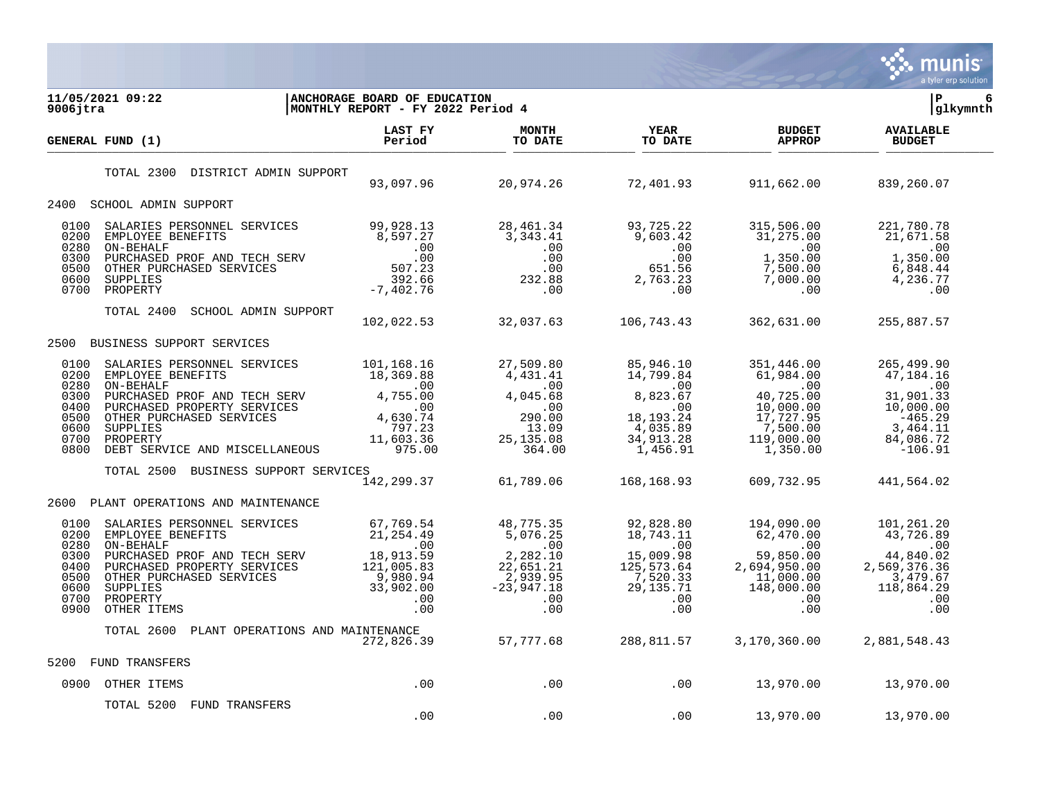

| 11/05/2021 09:22<br>$9006$ jtra                                                                                                 | ANCHORAGE BOARD OF EDUCATION<br>MONTHLY REPORT - FY 2022 Period 4                                                                                                                                                                                                                       |                                 |                                   |                                                                                     | 6<br>l P<br> glkymnth             |
|---------------------------------------------------------------------------------------------------------------------------------|-----------------------------------------------------------------------------------------------------------------------------------------------------------------------------------------------------------------------------------------------------------------------------------------|---------------------------------|-----------------------------------|-------------------------------------------------------------------------------------|-----------------------------------|
| GENERAL FUND (1)                                                                                                                |                                                                                                                                                                                                                                                                                         | TO DATE                         | <b>YEAR</b><br>TO DATE<br>TO DATE | <b>BUDGET</b><br><b>APPROP</b>                                                      | <b>AVAILABLE</b><br><b>BUDGET</b> |
| TOTAL 2300 DISTRICT ADMIN SUPPORT                                                                                               |                                                                                                                                                                                                                                                                                         |                                 |                                   | $93,097.96$ $20,974.26$ $72,401.93$ $911,662.00$                                    | 839,260.07                        |
| 2400<br>SCHOOL ADMIN SUPPORT                                                                                                    |                                                                                                                                                                                                                                                                                         |                                 |                                   |                                                                                     |                                   |
| 0100<br>0200<br>0280<br>0300<br>0500<br>0600<br>0700                                                                            |                                                                                                                                                                                                                                                                                         |                                 |                                   |                                                                                     |                                   |
| TOTAL 2400                                                                                                                      | SCHOOL ADMIN SUPPORT                                                                                                                                                                                                                                                                    |                                 |                                   |                                                                                     |                                   |
|                                                                                                                                 |                                                                                                                                                                                                                                                                                         | 102,022.53 32,037.63 106,743.43 |                                   | 362,631.00                                                                          | 255,887.57                        |
| BUSINESS SUPPORT SERVICES<br>2500                                                                                               |                                                                                                                                                                                                                                                                                         |                                 |                                   |                                                                                     |                                   |
| 0100<br>0200<br>0280<br>0300<br>0400<br>0500<br>0600<br>0700<br>0800                                                            | $\begin{tabular}{l c c c c c c c c} \texttt{SALARIES} & \texttt{PERSONNEL} & \texttt{SERVICES} & 101,168.16 & 27,509.80 & 85,946.10 & 351,446.00 & 265,499.90 & 4,431.41 & 14,799.84 & 61,984.00 & 47,184.16 & 47,184.16 & 47,184.16 & 47,184.16 & 47,184.16 & 47,184.16 & 47,184.16 &$ |                                 |                                   |                                                                                     |                                   |
| TOTAL 2500                                                                                                                      | BUSINESS SUPPORT SERVICES                                                                                                                                                                                                                                                               |                                 |                                   | $\begin{array}{cccc} -142,299.37 & 61,789.06 & 168,168.93 & 609,732.95 \end{array}$ | 441,564.02                        |
|                                                                                                                                 |                                                                                                                                                                                                                                                                                         |                                 |                                   |                                                                                     |                                   |
| 2600<br>PLANT OPERATIONS AND MAINTENANCE<br>0100<br>0200<br>0280<br>0300<br>0400<br>0500<br>0600<br>0700<br>0900<br>OTHER ITEMS | 3ALARIES PERSONNEL SERVICES 67,769.54<br>EMPLOYEE BENEFITS 21,254.49 5,076.25 18,775.35 92,828.80 194,090.00 101,261.20<br>ON-BENEFITS 21,254.49 5,076.25 18,743.11 62,470.00 43,726.89<br>PURCHASED PROPERTY SERVICES 121,005.83 2,                                                    |                                 |                                   |                                                                                     |                                   |
|                                                                                                                                 | TOTAL 2600 PLANT OPERATIONS AND MAINTENANCE<br>272,826.39 57,777.68 288,811.57 3,170,360.00 2,881,548.43 272,826.39 57,777.68                                                                                                                                                           |                                 |                                   |                                                                                     |                                   |
| <b>FUND TRANSFERS</b><br>5200                                                                                                   |                                                                                                                                                                                                                                                                                         |                                 |                                   |                                                                                     |                                   |
| 0900 OTHER ITEMS                                                                                                                | $\overline{00}$                                                                                                                                                                                                                                                                         |                                 |                                   | $13,970.00$ $13,970.00$ $13,970.00$                                                 |                                   |
| TOTAL 5200 FUND TRANSFERS                                                                                                       | .00                                                                                                                                                                                                                                                                                     | .00                             | .00                               | 13,970.00                                                                           | 13,970.00                         |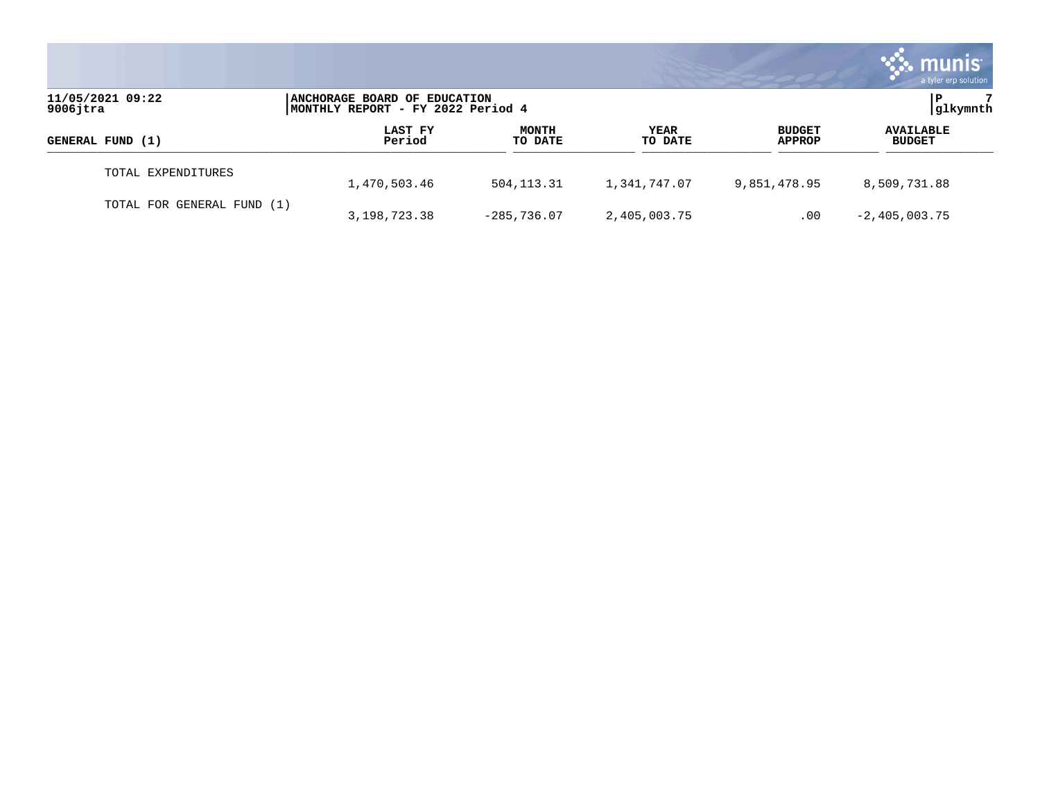|                                 |                                                                   |                         |                 |                                | munis<br>a tyler erp solution     |
|---------------------------------|-------------------------------------------------------------------|-------------------------|-----------------|--------------------------------|-----------------------------------|
| 11/05/2021 09:22<br>$9006$ jtra | ANCHORAGE BOARD OF EDUCATION<br>MONTHLY REPORT - FY 2022 Period 4 |                         |                 |                                | glkymnth                          |
| GENERAL FUND (1)                | LAST FY<br>Period                                                 | <b>MONTH</b><br>TO DATE | YEAR<br>TO DATE | <b>BUDGET</b><br><b>APPROP</b> | <b>AVAILABLE</b><br><b>BUDGET</b> |
| TOTAL EXPENDITURES              | 1,470,503.46                                                      | 504, 113. 31            | 1,341,747.07    | 9,851,478.95                   | 8,509,731.88                      |
| TOTAL FOR GENERAL FUND (1)      | 3,198,723.38                                                      | $-285,736.07$           | 2,405,003.75    | .00                            | $-2,405,003.75$                   |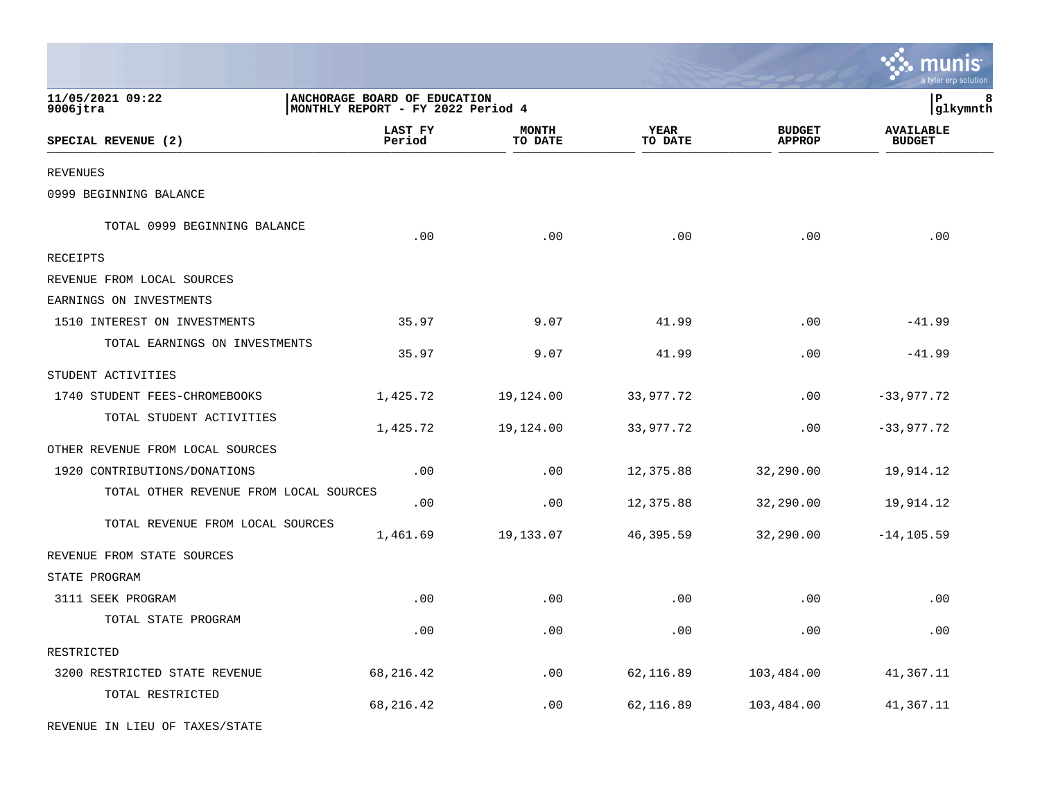|                                        |                                                                   |                             |                 |                                | a tyler erp solution              |
|----------------------------------------|-------------------------------------------------------------------|-----------------------------|-----------------|--------------------------------|-----------------------------------|
| 11/05/2021 09:22<br>9006jtra           | ANCHORAGE BOARD OF EDUCATION<br>MONTHLY REPORT - FY 2022 Period 4 |                             |                 |                                | ${\bf P}$<br>8<br>glkymnth        |
| SPECIAL REVENUE (2)                    | LAST FY<br>Period                                                 | <b>MONTH</b><br>TO DATE     | YEAR<br>TO DATE | <b>BUDGET</b><br><b>APPROP</b> | <b>AVAILABLE</b><br><b>BUDGET</b> |
| <b>REVENUES</b>                        |                                                                   |                             |                 |                                |                                   |
| 0999 BEGINNING BALANCE                 |                                                                   |                             |                 |                                |                                   |
| TOTAL 0999 BEGINNING BALANCE           | .00                                                               | .00                         | .00             | .00                            | .00                               |
| RECEIPTS                               |                                                                   |                             |                 |                                |                                   |
| REVENUE FROM LOCAL SOURCES             |                                                                   |                             |                 |                                |                                   |
| EARNINGS ON INVESTMENTS                |                                                                   |                             |                 |                                |                                   |
| 1510 INTEREST ON INVESTMENTS           | 35.97                                                             | 9.07                        | 41.99           | .00                            | $-41.99$                          |
| TOTAL EARNINGS ON INVESTMENTS          | 35.97                                                             | 9.07                        | 41.99           | .00                            | $-41.99$                          |
| STUDENT ACTIVITIES                     |                                                                   |                             |                 |                                |                                   |
| 1740 STUDENT FEES-CHROMEBOOKS          | 1,425.72                                                          | 19,124.00                   | 33,977.72       | .00                            | $-33,977.72$                      |
| TOTAL STUDENT ACTIVITIES               | 1,425.72                                                          | 19,124.00                   | 33,977.72       | .00                            | $-33,977.72$                      |
| OTHER REVENUE FROM LOCAL SOURCES       |                                                                   |                             |                 |                                |                                   |
| 1920 CONTRIBUTIONS/DONATIONS           | .00                                                               | .00                         | 12,375.88       | 32,290.00                      | 19,914.12                         |
| TOTAL OTHER REVENUE FROM LOCAL SOURCES | .00                                                               | .00                         | 12,375.88       | 32,290.00                      | 19,914.12                         |
| TOTAL REVENUE FROM LOCAL SOURCES       | 1,461.69                                                          | 19,133.07                   | 46,395.59       | 32,290.00                      | $-14, 105.59$                     |
| REVENUE FROM STATE SOURCES             |                                                                   |                             |                 |                                |                                   |
| STATE PROGRAM                          |                                                                   |                             |                 |                                |                                   |
| 3111 SEEK PROGRAM                      | .00                                                               | .00                         | .00             | .00                            | .00                               |
| TOTAL STATE PROGRAM                    | .00                                                               | .00                         | .00             | .00                            | .00                               |
| RESTRICTED                             |                                                                   |                             |                 |                                |                                   |
| 3200 RESTRICTED STATE REVENUE          | 68, 216.42                                                        | $\boldsymbol{\mathsf{.00}}$ | 62,116.89       | 103,484.00                     | 41,367.11                         |
| TOTAL RESTRICTED                       | 68, 216.42                                                        | .00                         | 62,116.89       | 103,484.00                     | 41,367.11                         |
| REVENUE IN LIEU OF TAXES/STATE         |                                                                   |                             |                 |                                |                                   |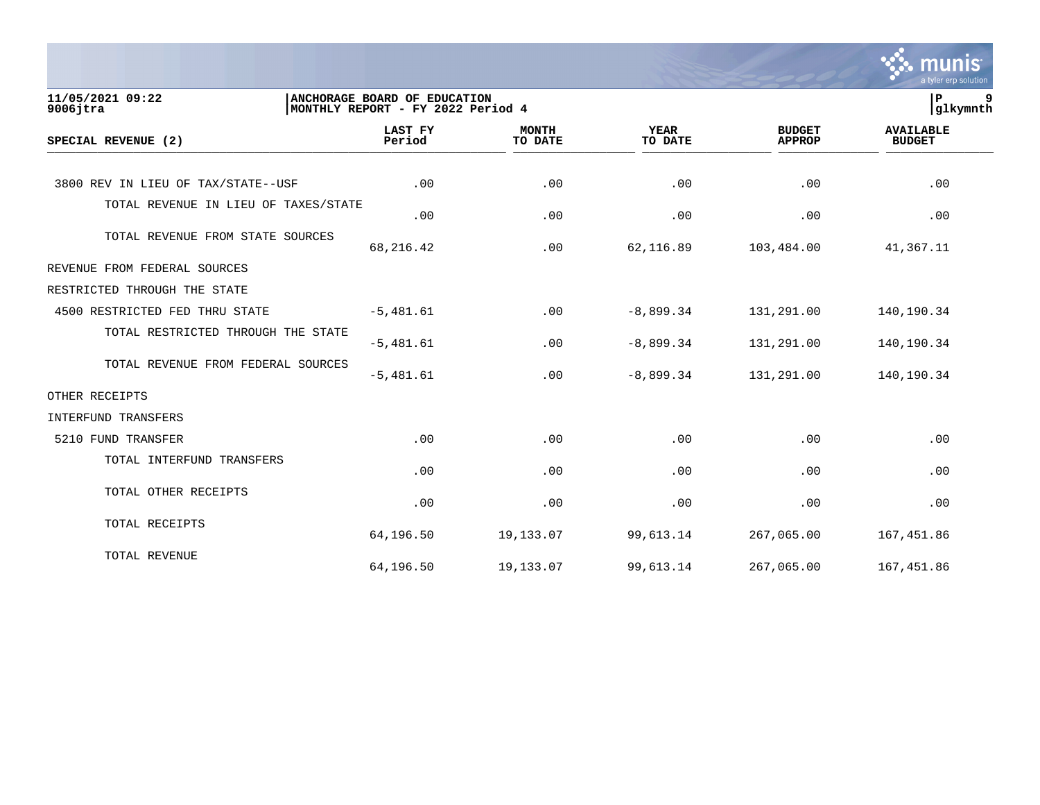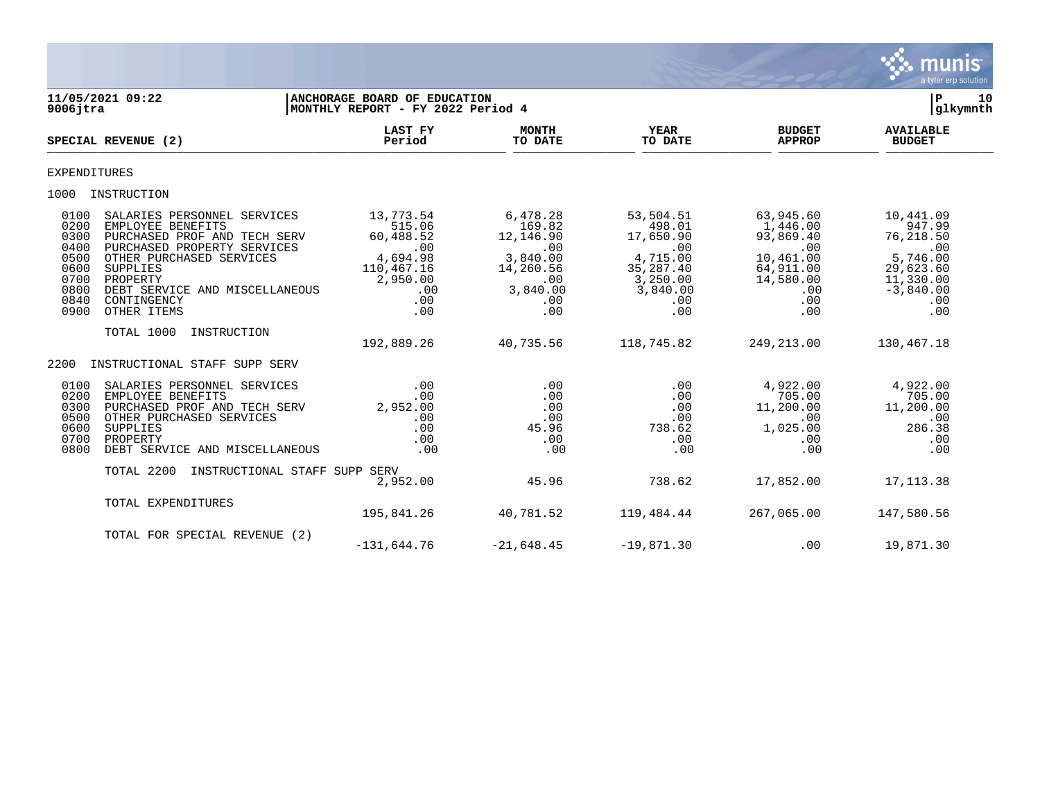

| $9006$ jtra                                                                  | 11/05/2021 09:22                                                                                                                                                                                                                    | ANCHORAGE BOARD OF EDUCATION<br>MONTHLY REPORT - FY 2022 Period 4                                  |                                                                                                  |                                                                                                        |                                                                                                            | 10<br>Р<br> glkymnth                                                                                       |
|------------------------------------------------------------------------------|-------------------------------------------------------------------------------------------------------------------------------------------------------------------------------------------------------------------------------------|----------------------------------------------------------------------------------------------------|--------------------------------------------------------------------------------------------------|--------------------------------------------------------------------------------------------------------|------------------------------------------------------------------------------------------------------------|------------------------------------------------------------------------------------------------------------|
|                                                                              | SPECIAL REVENUE (2)                                                                                                                                                                                                                 | <b>LAST FY</b><br>Period                                                                           | <b>MONTH</b><br>TO DATE                                                                          | YEAR<br>TO DATE                                                                                        | <b>BUDGET</b><br><b>APPROP</b>                                                                             | <b>AVAILABLE</b><br><b>BUDGET</b>                                                                          |
| <b>EXPENDITURES</b>                                                          |                                                                                                                                                                                                                                     |                                                                                                    |                                                                                                  |                                                                                                        |                                                                                                            |                                                                                                            |
|                                                                              | 1000 INSTRUCTION                                                                                                                                                                                                                    |                                                                                                    |                                                                                                  |                                                                                                        |                                                                                                            |                                                                                                            |
| 0100<br>0200<br>0300<br>0400<br>0500<br>0600<br>0700<br>0800<br>0840<br>0900 | SALARIES PERSONNEL SERVICES<br>EMPLOYEE BENEFITS<br>PURCHASED PROF AND TECH SERV<br>PURCHASED PROPERTY SERVICES<br>OTHER PURCHASED SERVICES<br>SUPPLIES<br>PROPERTY<br>DEBT SERVICE AND MISCELLANEOUS<br>CONTINGENCY<br>OTHER ITEMS | 13,773.54<br>515.06<br>60,488.52<br>.00<br>4,694.98<br>110,467.16<br>2,950.00<br>.00<br>.00<br>.00 | 6,478.28<br>169.82<br>12,146.90<br>.00<br>3,840.00<br>14,260.56<br>.00<br>3,840.00<br>.00<br>.00 | 53,504.51<br>498.01<br>17,650.90<br>.00<br>4,715.00<br>35,287.40<br>3,250.00<br>3,840.00<br>.00<br>.00 | 63,945.60<br>1,446.00<br>93,869.40<br>.00<br>10,461.00<br>64,911.00<br>14,580.00<br>.00<br>$.00 \,$<br>.00 | 10,441.09<br>947.99<br>76,218.50<br>.00<br>5,746.00<br>29,623.60<br>11,330.00<br>$-3,840.00$<br>.00<br>.00 |
|                                                                              | TOTAL 1000<br>INSTRUCTION                                                                                                                                                                                                           | 192,889.26                                                                                         | 40,735.56                                                                                        | 118,745.82                                                                                             | 249,213.00                                                                                                 | 130,467.18                                                                                                 |
| 2200                                                                         | INSTRUCTIONAL STAFF SUPP SERV                                                                                                                                                                                                       |                                                                                                    |                                                                                                  |                                                                                                        |                                                                                                            |                                                                                                            |
| 0100<br>0200<br>0300<br>0500<br>0600<br>0700<br>0800                         | SALARIES PERSONNEL SERVICES<br>EMPLOYEE BENEFITS<br>PURCHASED PROF AND TECH SERV<br>OTHER PURCHASED SERVICES<br>SUPPLIES<br>PROPERTY<br>DEBT SERVICE AND MISCELLANEOUS                                                              | .00<br>.00<br>2,952.00<br>.00<br>.00<br>.00<br>.00                                                 | .00<br>.00<br>.00<br>.00<br>45.96<br>.00<br>.00                                                  | .00<br>.00<br>.00<br>.00<br>738.62<br>.00<br>.00                                                       | 4,922.00<br>705.00<br>11,200.00<br>$.00 \,$<br>1,025.00<br>.00<br>.00                                      | 4,922.00<br>705.00<br>11,200.00<br>.00<br>286.38<br>.00<br>.00                                             |
|                                                                              | TOTAL 2200<br>INSTRUCTIONAL STAFF SUPP SERV                                                                                                                                                                                         | 2,952.00                                                                                           | 45.96                                                                                            | 738.62                                                                                                 | 17,852.00                                                                                                  | 17, 113.38                                                                                                 |
|                                                                              | TOTAL EXPENDITURES                                                                                                                                                                                                                  | 195,841.26                                                                                         | 40,781.52                                                                                        | 119,484.44                                                                                             | 267,065.00                                                                                                 | 147,580.56                                                                                                 |
|                                                                              | TOTAL FOR SPECIAL REVENUE (2)                                                                                                                                                                                                       | $-131,644.76$                                                                                      | $-21,648.45$                                                                                     | $-19,871.30$                                                                                           | .00                                                                                                        | 19,871.30                                                                                                  |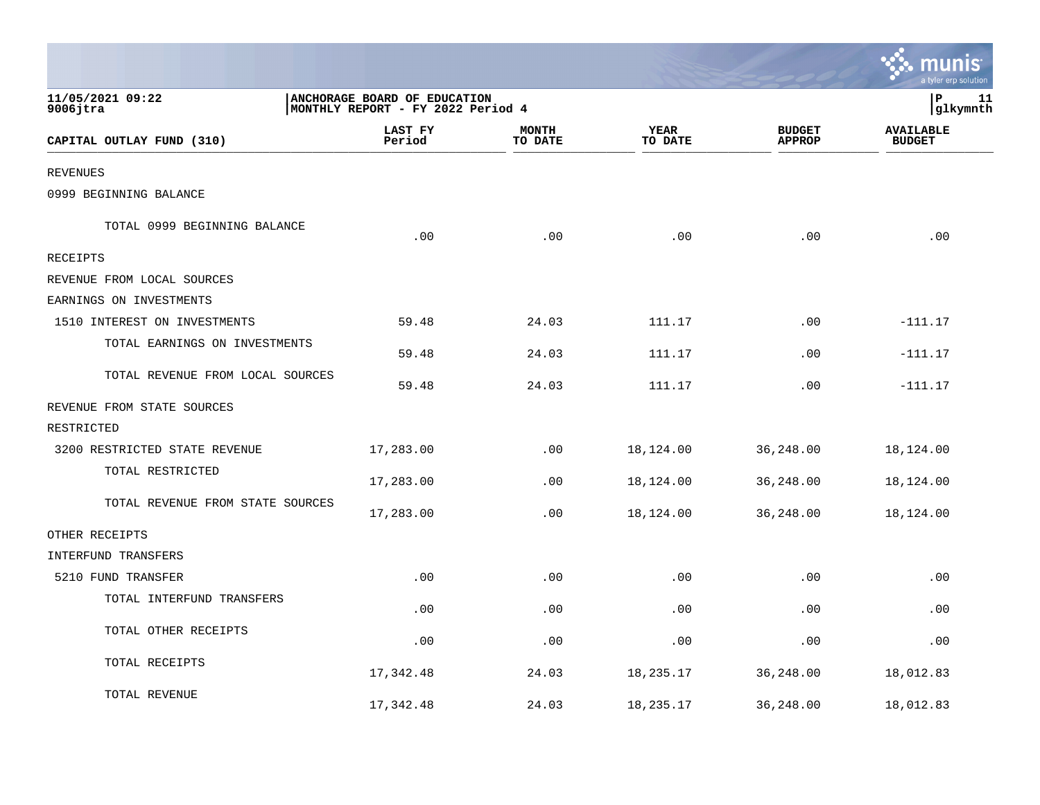|                                  |                                                                   |                         |                 |                                | a tyler erp solution              |
|----------------------------------|-------------------------------------------------------------------|-------------------------|-----------------|--------------------------------|-----------------------------------|
| 11/05/2021 09:22<br>$9006$ jtra  | ANCHORAGE BOARD OF EDUCATION<br>MONTHLY REPORT - FY 2022 Period 4 |                         |                 |                                | l P<br>11<br>glkymnth             |
| CAPITAL OUTLAY FUND (310)        | LAST FY<br>Period                                                 | <b>MONTH</b><br>TO DATE | YEAR<br>TO DATE | <b>BUDGET</b><br><b>APPROP</b> | <b>AVAILABLE</b><br><b>BUDGET</b> |
| <b>REVENUES</b>                  |                                                                   |                         |                 |                                |                                   |
| 0999 BEGINNING BALANCE           |                                                                   |                         |                 |                                |                                   |
| TOTAL 0999 BEGINNING BALANCE     | .00                                                               | .00                     | .00             | .00                            | .00                               |
| <b>RECEIPTS</b>                  |                                                                   |                         |                 |                                |                                   |
| REVENUE FROM LOCAL SOURCES       |                                                                   |                         |                 |                                |                                   |
| EARNINGS ON INVESTMENTS          |                                                                   |                         |                 |                                |                                   |
| 1510 INTEREST ON INVESTMENTS     | 59.48                                                             | 24.03                   | 111.17          | .00                            | $-111.17$                         |
| TOTAL EARNINGS ON INVESTMENTS    | 59.48                                                             | 24.03                   | 111.17          | .00                            | $-111.17$                         |
| TOTAL REVENUE FROM LOCAL SOURCES | 59.48                                                             | 24.03                   | 111.17          | .00                            | $-111.17$                         |
| REVENUE FROM STATE SOURCES       |                                                                   |                         |                 |                                |                                   |
| RESTRICTED                       |                                                                   |                         |                 |                                |                                   |
| 3200 RESTRICTED STATE REVENUE    | 17,283.00                                                         | .00                     | 18,124.00       | 36,248.00                      | 18,124.00                         |
| TOTAL RESTRICTED                 | 17,283.00                                                         | .00                     | 18,124.00       | 36,248.00                      | 18,124.00                         |
| TOTAL REVENUE FROM STATE SOURCES | 17,283.00                                                         | .00                     | 18,124.00       | 36,248.00                      | 18,124.00                         |
| OTHER RECEIPTS                   |                                                                   |                         |                 |                                |                                   |
| INTERFUND TRANSFERS              |                                                                   |                         |                 |                                |                                   |
| 5210 FUND TRANSFER               | .00                                                               | .00                     | .00             | .00                            | .00                               |
| TOTAL INTERFUND TRANSFERS        | .00                                                               | .00                     | .00             | .00                            | .00                               |
| TOTAL OTHER RECEIPTS             | .00                                                               | .00                     | .00             | .00                            | .00                               |
| TOTAL RECEIPTS                   | 17,342.48                                                         | 24.03                   | 18,235.17       | 36,248.00                      | 18,012.83                         |
| TOTAL REVENUE                    | 17,342.48                                                         | 24.03                   | 18,235.17       | 36,248.00                      | 18,012.83                         |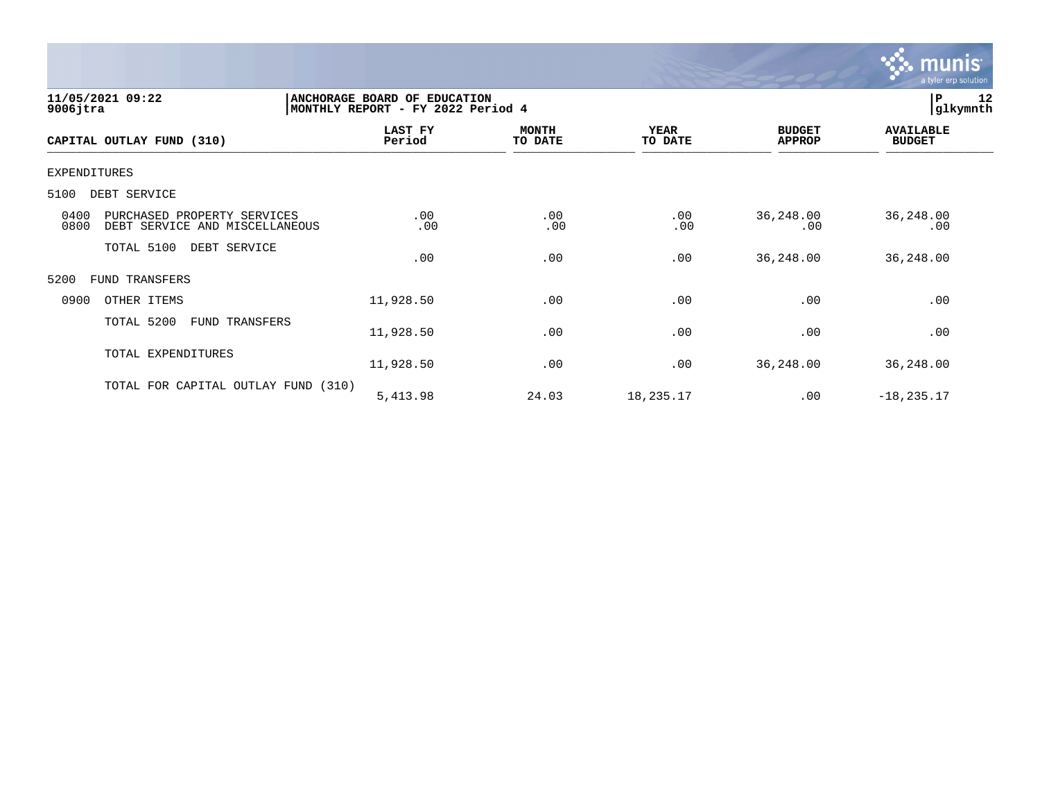

| 11/05/2021 09:22<br>$9006$ jtra                                               | ANCHORAGE BOARD OF EDUCATION<br>MONTHLY REPORT - FY 2022 Period 4 |                         |                        |                                | 12<br> P<br> glkymnth             |
|-------------------------------------------------------------------------------|-------------------------------------------------------------------|-------------------------|------------------------|--------------------------------|-----------------------------------|
| CAPITAL OUTLAY FUND (310)                                                     | LAST FY<br>Period                                                 | <b>MONTH</b><br>TO DATE | <b>YEAR</b><br>TO DATE | <b>BUDGET</b><br><b>APPROP</b> | <b>AVAILABLE</b><br><b>BUDGET</b> |
| <b>EXPENDITURES</b>                                                           |                                                                   |                         |                        |                                |                                   |
| 5100<br>DEBT SERVICE                                                          |                                                                   |                         |                        |                                |                                   |
| 0400<br>PURCHASED PROPERTY SERVICES<br>0800<br>DEBT SERVICE AND MISCELLANEOUS | .00<br>.00                                                        | .00<br>.00              | .00<br>.00             | 36,248.00<br>.00               | 36,248.00<br>.00                  |
| TOTAL 5100<br>DEBT SERVICE                                                    | .00                                                               | .00                     | .00                    | 36, 248.00                     | 36,248.00                         |
| 5200<br>FUND TRANSFERS                                                        |                                                                   |                         |                        |                                |                                   |
| 0900<br>OTHER ITEMS                                                           | 11,928.50                                                         | .00                     | .00                    | .00                            | .00                               |
| TOTAL 5200<br>FUND TRANSFERS                                                  | 11,928.50                                                         | .00                     | .00                    | .00                            | .00                               |
| TOTAL EXPENDITURES                                                            | 11,928.50                                                         | .00                     | .00                    | 36, 248.00                     | 36,248.00                         |
| TOTAL FOR CAPITAL OUTLAY FUND (310)                                           | 5,413.98                                                          | 24.03                   | 18,235.17              | .00                            | $-18, 235.17$                     |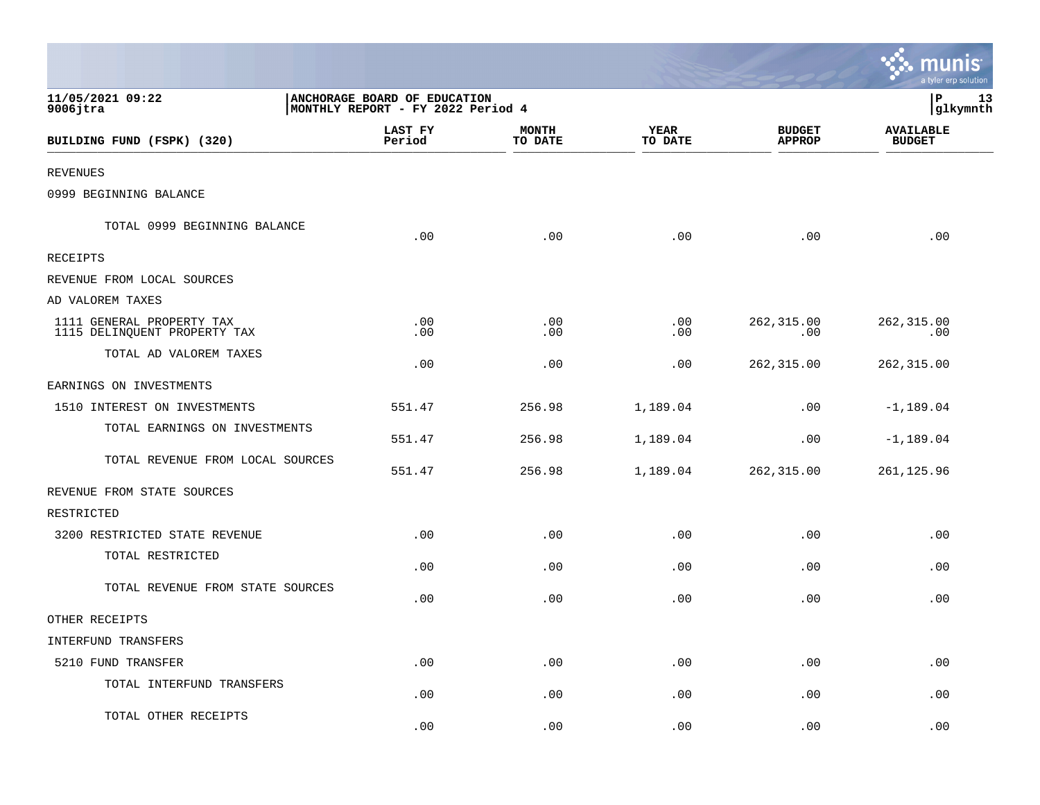|                                                           |                                                                   |                         |                             |                                | munis<br>a tyler erp solution     |
|-----------------------------------------------------------|-------------------------------------------------------------------|-------------------------|-----------------------------|--------------------------------|-----------------------------------|
| 11/05/2021 09:22<br>$9006$ jtra                           | ANCHORAGE BOARD OF EDUCATION<br>MONTHLY REPORT - FY 2022 Period 4 |                         |                             |                                | P<br>13<br>glkymnth               |
| BUILDING FUND (FSPK) (320)                                | LAST FY<br>Period                                                 | <b>MONTH</b><br>TO DATE | <b>YEAR</b><br>TO DATE      | <b>BUDGET</b><br><b>APPROP</b> | <b>AVAILABLE</b><br><b>BUDGET</b> |
| <b>REVENUES</b>                                           |                                                                   |                         |                             |                                |                                   |
| 0999 BEGINNING BALANCE                                    |                                                                   |                         |                             |                                |                                   |
| TOTAL 0999 BEGINNING BALANCE                              | .00                                                               | .00                     | .00                         | .00                            | .00                               |
| RECEIPTS                                                  |                                                                   |                         |                             |                                |                                   |
| REVENUE FROM LOCAL SOURCES                                |                                                                   |                         |                             |                                |                                   |
| AD VALOREM TAXES                                          |                                                                   |                         |                             |                                |                                   |
| 1111 GENERAL PROPERTY TAX<br>1115 DELINQUENT PROPERTY TAX | $.00 \ \,$<br>.00                                                 | .00<br>.00              | .00<br>.00                  | 262,315.00<br>.00              | 262,315.00<br>.00                 |
| TOTAL AD VALOREM TAXES                                    | .00                                                               | .00                     | .00                         | 262,315.00                     | 262, 315.00                       |
| EARNINGS ON INVESTMENTS                                   |                                                                   |                         |                             |                                |                                   |
| 1510 INTEREST ON INVESTMENTS                              | 551.47                                                            | 256.98                  | 1,189.04                    | .00                            | $-1, 189.04$                      |
| TOTAL EARNINGS ON INVESTMENTS                             | 551.47                                                            | 256.98                  | 1,189.04                    | .00                            | $-1, 189.04$                      |
| TOTAL REVENUE FROM LOCAL SOURCES                          | 551.47                                                            | 256.98                  | 1,189.04                    | 262,315.00                     | 261, 125.96                       |
| REVENUE FROM STATE SOURCES                                |                                                                   |                         |                             |                                |                                   |
| RESTRICTED                                                |                                                                   |                         |                             |                                |                                   |
| 3200 RESTRICTED STATE REVENUE                             | .00                                                               | .00                     | .00                         | .00                            | .00                               |
| TOTAL RESTRICTED                                          | .00                                                               | .00                     | .00                         | .00                            | .00                               |
| TOTAL REVENUE FROM STATE SOURCES                          | .00                                                               | .00                     | .00                         | .00                            | .00                               |
| OTHER RECEIPTS                                            |                                                                   |                         |                             |                                |                                   |
| INTERFUND TRANSFERS                                       |                                                                   |                         |                             |                                |                                   |
| 5210 FUND TRANSFER                                        | .00                                                               | .00                     | $\boldsymbol{\mathsf{.00}}$ | .00                            | .00                               |
| TOTAL INTERFUND TRANSFERS                                 | .00                                                               | .00                     | .00                         | .00                            | .00                               |
| TOTAL OTHER RECEIPTS                                      | .00                                                               | .00                     | .00                         | .00                            | .00                               |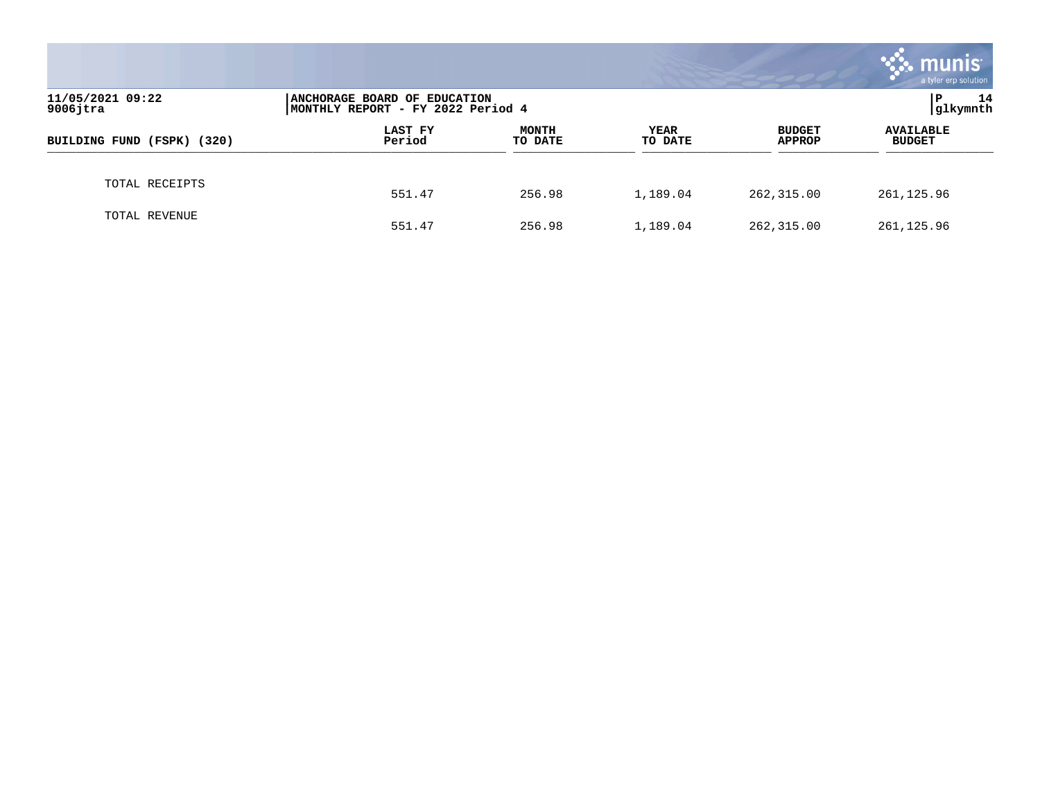|                                 |                                                                    |                         |                        |                                | munis<br>a tyler erp solution     |
|---------------------------------|--------------------------------------------------------------------|-------------------------|------------------------|--------------------------------|-----------------------------------|
| 11/05/2021 09:22<br>$9006$ jtra | ANCHORAGE BOARD OF EDUCATION<br> MONTHLY REPORT - FY 2022 Period 4 | P<br>14<br>glkymnth     |                        |                                |                                   |
| BUILDING FUND (FSPK) (320)      | LAST FY<br>Period                                                  | <b>MONTH</b><br>TO DATE | <b>YEAR</b><br>TO DATE | <b>BUDGET</b><br><b>APPROP</b> | <b>AVAILABLE</b><br><b>BUDGET</b> |
| TOTAL RECEIPTS                  | 551.47                                                             | 256.98                  | 1,189.04               | 262,315.00                     | 261,125.96                        |
| TOTAL REVENUE                   | 551.47                                                             | 256.98                  | 1,189.04               | 262,315.00                     | 261, 125.96                       |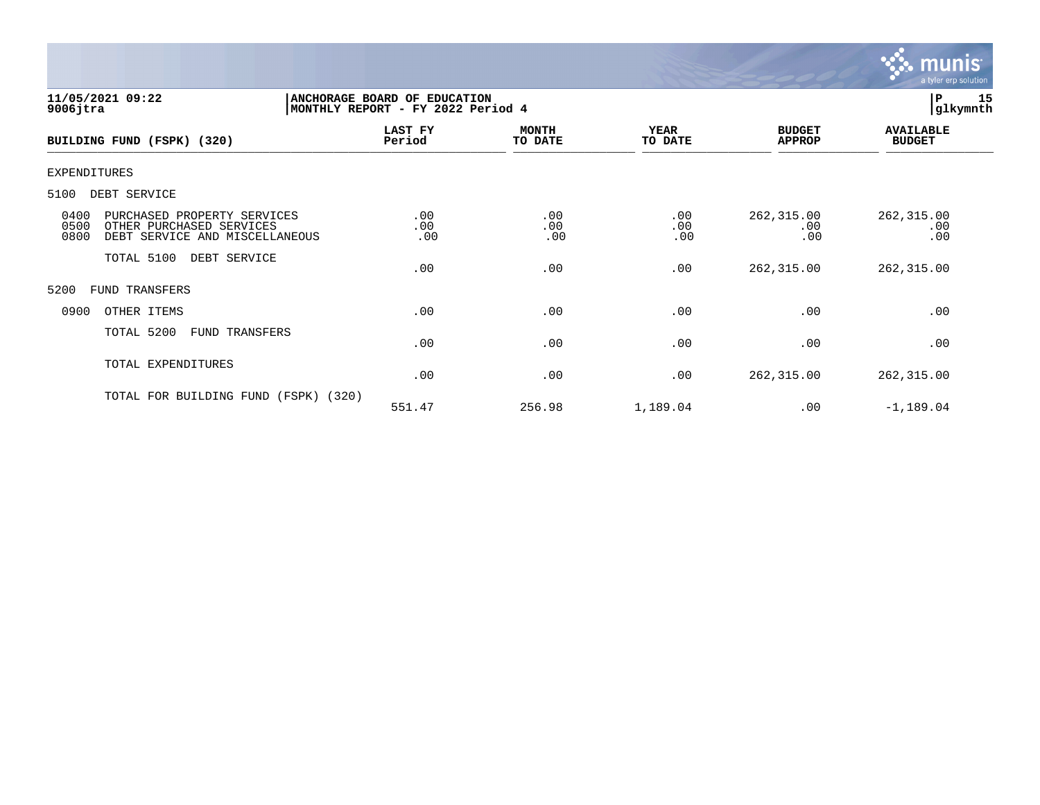

| 11/05/2021 09:22<br>$9006$ jtra                                                                                   | ANCHORAGE BOARD OF EDUCATION<br>MONTHLY REPORT - FY 2022 Period 4 | 15<br> P<br> glkymnth   |                        |                                |                                   |
|-------------------------------------------------------------------------------------------------------------------|-------------------------------------------------------------------|-------------------------|------------------------|--------------------------------|-----------------------------------|
| BUILDING FUND (FSPK) (320)                                                                                        | LAST FY<br>Period                                                 | <b>MONTH</b><br>TO DATE | <b>YEAR</b><br>TO DATE | <b>BUDGET</b><br><b>APPROP</b> | <b>AVAILABLE</b><br><b>BUDGET</b> |
| <b>EXPENDITURES</b>                                                                                               |                                                                   |                         |                        |                                |                                   |
| 5100<br>DEBT SERVICE                                                                                              |                                                                   |                         |                        |                                |                                   |
| 0400<br>PURCHASED PROPERTY SERVICES<br>0500<br>OTHER PURCHASED SERVICES<br>0800<br>DEBT SERVICE AND MISCELLANEOUS | .00<br>.00<br>.00                                                 | .00<br>.00<br>.00       | .00<br>.00<br>.00      | 262,315.00<br>.00<br>.00       | 262, 315.00<br>.00<br>.00         |
| TOTAL 5100<br>DEBT SERVICE                                                                                        | .00                                                               | .00                     | .00                    | 262,315.00                     | 262,315.00                        |
| 5200<br>FUND TRANSFERS                                                                                            |                                                                   |                         |                        |                                |                                   |
| 0900<br>OTHER ITEMS                                                                                               | .00                                                               | .00                     | .00                    | .00                            | .00                               |
| TOTAL 5200<br>FUND TRANSFERS                                                                                      | .00                                                               | .00                     | .00                    | .00                            | .00                               |
| TOTAL EXPENDITURES                                                                                                | .00                                                               | .00                     | .00                    | 262,315.00                     | 262, 315.00                       |
| TOTAL FOR BUILDING FUND<br>(FSPK) (320)                                                                           | 551.47                                                            | 256.98                  | 1,189.04               | .00                            | $-1,189.04$                       |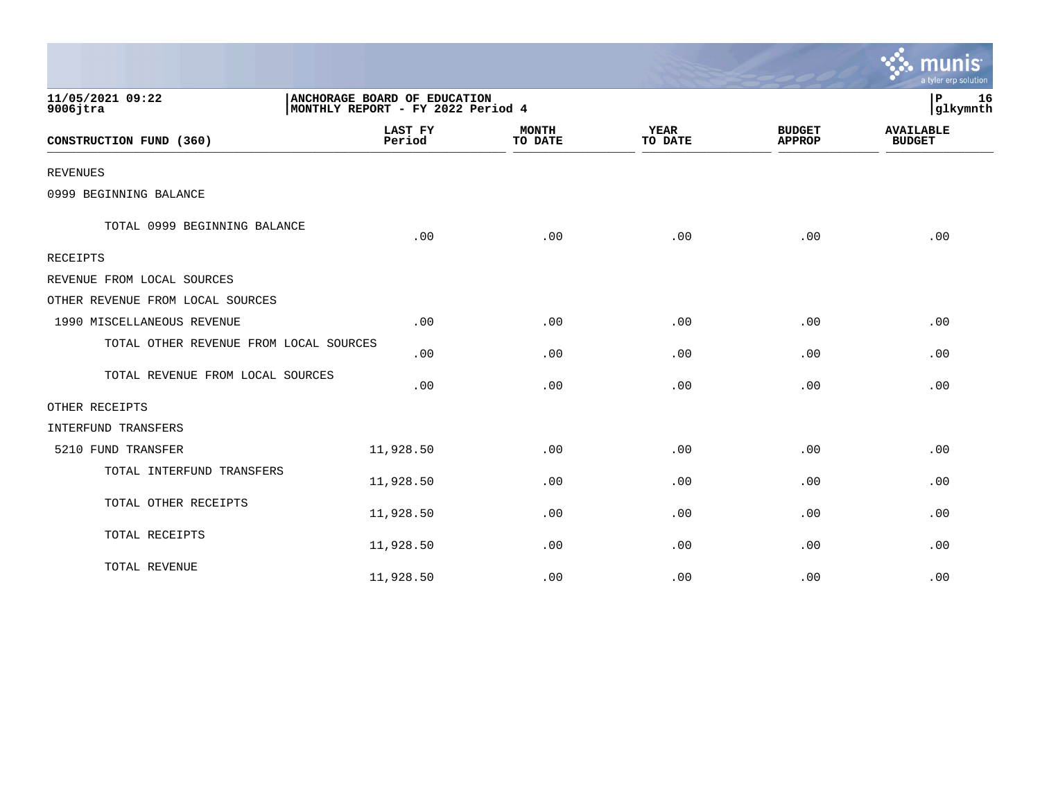|                                        |                          |                                                                   |                        |                                | a tyler erp solution              |  |  |
|----------------------------------------|--------------------------|-------------------------------------------------------------------|------------------------|--------------------------------|-----------------------------------|--|--|
| 11/05/2021 09:22<br>$9006$ jtra        |                          | ANCHORAGE BOARD OF EDUCATION<br>MONTHLY REPORT - FY 2022 Period 4 |                        |                                |                                   |  |  |
| CONSTRUCTION FUND (360)                | <b>LAST FY</b><br>Period | <b>MONTH</b><br>TO DATE                                           | <b>YEAR</b><br>TO DATE | <b>BUDGET</b><br><b>APPROP</b> | <b>AVAILABLE</b><br><b>BUDGET</b> |  |  |
| <b>REVENUES</b>                        |                          |                                                                   |                        |                                |                                   |  |  |
| 0999 BEGINNING BALANCE                 |                          |                                                                   |                        |                                |                                   |  |  |
| TOTAL 0999 BEGINNING BALANCE           | .00                      | .00                                                               | .00                    | .00                            | .00                               |  |  |
| <b>RECEIPTS</b>                        |                          |                                                                   |                        |                                |                                   |  |  |
| REVENUE FROM LOCAL SOURCES             |                          |                                                                   |                        |                                |                                   |  |  |
| OTHER REVENUE FROM LOCAL SOURCES       |                          |                                                                   |                        |                                |                                   |  |  |
| 1990 MISCELLANEOUS REVENUE             | .00                      | .00                                                               | .00                    | .00                            | .00                               |  |  |
| TOTAL OTHER REVENUE FROM LOCAL SOURCES | .00                      | .00                                                               | .00                    | .00                            | .00                               |  |  |
| TOTAL REVENUE FROM LOCAL SOURCES       | .00                      | .00                                                               | .00                    | .00                            | .00                               |  |  |
| OTHER RECEIPTS                         |                          |                                                                   |                        |                                |                                   |  |  |
| INTERFUND TRANSFERS                    |                          |                                                                   |                        |                                |                                   |  |  |
| 5210 FUND TRANSFER                     | 11,928.50                | .00                                                               | .00                    | .00                            | .00                               |  |  |
| TOTAL INTERFUND TRANSFERS              | 11,928.50                | .00                                                               | .00                    | .00                            | .00                               |  |  |
| TOTAL OTHER RECEIPTS                   | 11,928.50                | .00                                                               | .00                    | .00                            | .00                               |  |  |
| TOTAL RECEIPTS                         | 11,928.50                | .00                                                               | .00                    | .00                            | .00                               |  |  |
| TOTAL REVENUE                          | 11,928.50                | .00                                                               | .00                    | .00                            | .00                               |  |  |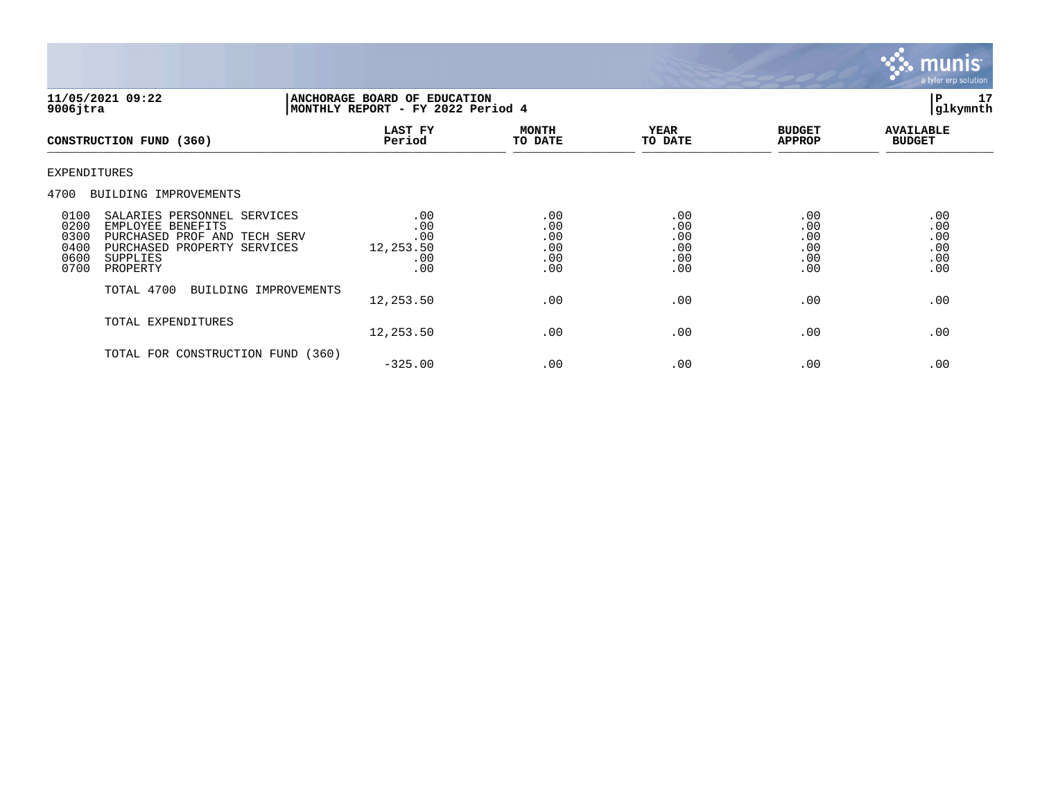

| 11/05/2021 09:22<br>$9006$ jtra                                                                                                                                                         | ANCHORAGE BOARD OF EDUCATION<br>MONTHLY REPORT - FY 2022 Period 4 | P<br>17<br>glkymnth                    |                                        |                                        |                                        |
|-----------------------------------------------------------------------------------------------------------------------------------------------------------------------------------------|-------------------------------------------------------------------|----------------------------------------|----------------------------------------|----------------------------------------|----------------------------------------|
| CONSTRUCTION FUND (360)                                                                                                                                                                 | LAST FY<br>Period                                                 | <b>MONTH</b><br>TO DATE                | <b>YEAR</b><br>TO DATE                 | <b>BUDGET</b><br><b>APPROP</b>         | <b>AVAILABLE</b><br><b>BUDGET</b>      |
| <b>EXPENDITURES</b>                                                                                                                                                                     |                                                                   |                                        |                                        |                                        |                                        |
| 4700<br>BUILDING IMPROVEMENTS                                                                                                                                                           |                                                                   |                                        |                                        |                                        |                                        |
| 0100<br>SALARIES PERSONNEL SERVICES<br>0200<br>EMPLOYEE BENEFITS<br>0300<br>PURCHASED PROF AND TECH SERV<br>0400<br>PURCHASED PROPERTY SERVICES<br>0600<br>SUPPLIES<br>0700<br>PROPERTY | .00<br>.00<br>.00<br>12,253.50<br>.00<br>.00                      | .00<br>.00<br>.00<br>.00<br>.00<br>.00 | .00<br>.00<br>.00<br>.00<br>.00<br>.00 | .00<br>.00<br>.00<br>.00<br>.00<br>.00 | .00<br>.00<br>.00<br>.00<br>.00<br>.00 |
| TOTAL 4700<br>BUILDING IMPROVEMENTS                                                                                                                                                     | 12,253.50                                                         | .00                                    | .00                                    | .00                                    | .00                                    |
| TOTAL EXPENDITURES                                                                                                                                                                      | 12,253.50                                                         | .00                                    | .00                                    | .00                                    | .00                                    |
| TOTAL FOR CONSTRUCTION FUND (360)                                                                                                                                                       | $-325.00$                                                         | .00                                    | .00                                    | .00                                    | .00                                    |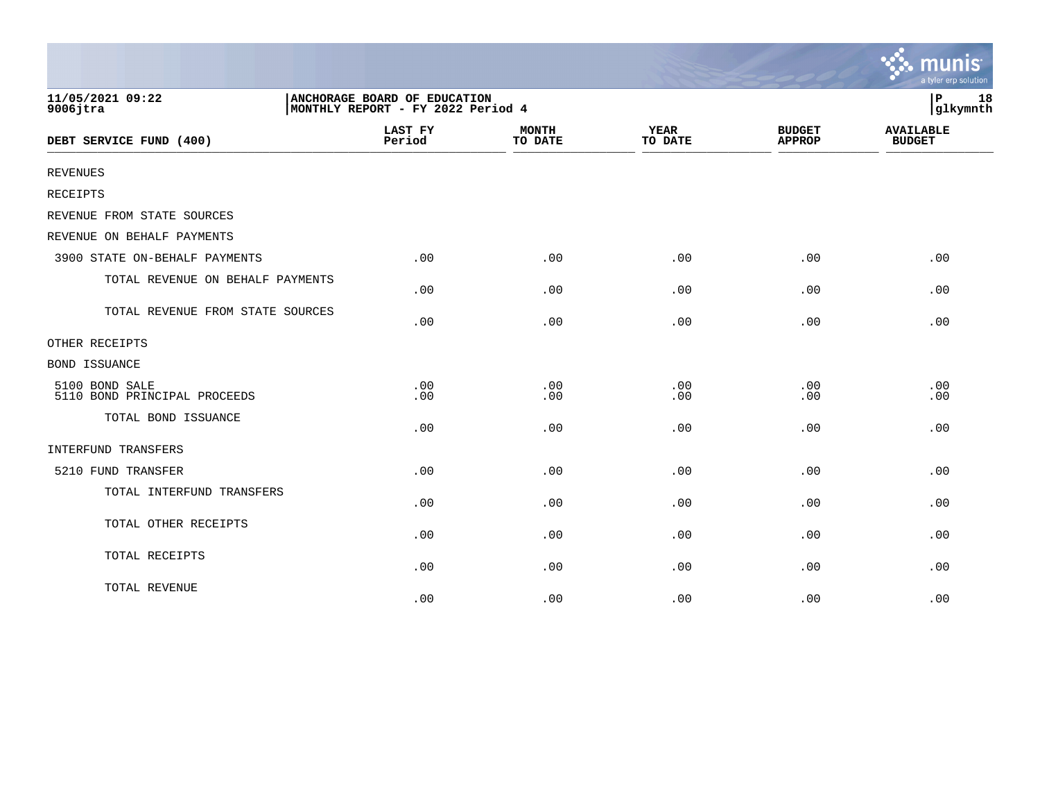|                                                |                                                                   |                         |                        |                                | munis<br>a tyler erp solution     |  |
|------------------------------------------------|-------------------------------------------------------------------|-------------------------|------------------------|--------------------------------|-----------------------------------|--|
| 11/05/2021 09:22<br>$9006$ jtra                | ANCHORAGE BOARD OF EDUCATION<br>MONTHLY REPORT - FY 2022 Period 4 |                         |                        |                                |                                   |  |
| DEBT SERVICE FUND (400)                        | <b>LAST FY</b><br>Period                                          | <b>MONTH</b><br>TO DATE | <b>YEAR</b><br>TO DATE | <b>BUDGET</b><br><b>APPROP</b> | <b>AVAILABLE</b><br><b>BUDGET</b> |  |
| <b>REVENUES</b>                                |                                                                   |                         |                        |                                |                                   |  |
| <b>RECEIPTS</b>                                |                                                                   |                         |                        |                                |                                   |  |
| REVENUE FROM STATE SOURCES                     |                                                                   |                         |                        |                                |                                   |  |
| REVENUE ON BEHALF PAYMENTS                     |                                                                   |                         |                        |                                |                                   |  |
| 3900 STATE ON-BEHALF PAYMENTS                  | .00                                                               | .00                     | .00                    | .00                            | .00                               |  |
| TOTAL REVENUE ON BEHALF PAYMENTS               | .00                                                               | .00                     | .00                    | .00                            | .00                               |  |
| TOTAL REVENUE FROM STATE SOURCES               | .00                                                               | .00                     | .00                    | .00                            | .00                               |  |
| OTHER RECEIPTS                                 |                                                                   |                         |                        |                                |                                   |  |
| <b>BOND ISSUANCE</b>                           |                                                                   |                         |                        |                                |                                   |  |
| 5100 BOND SALE<br>5110 BOND PRINCIPAL PROCEEDS | .00<br>.00                                                        | .00<br>.00              | .00<br>.00             | .00<br>.00                     | .00<br>.00                        |  |
| TOTAL BOND ISSUANCE                            | .00                                                               | .00                     | .00                    | .00                            | .00                               |  |
| INTERFUND TRANSFERS                            |                                                                   |                         |                        |                                |                                   |  |
| 5210 FUND TRANSFER                             | .00                                                               | .00                     | .00                    | .00                            | .00                               |  |
| TOTAL INTERFUND TRANSFERS                      | .00                                                               | .00                     | .00                    | .00                            | .00                               |  |
| TOTAL OTHER RECEIPTS                           | .00                                                               | .00                     | .00                    | .00                            | .00                               |  |
| TOTAL RECEIPTS                                 | .00                                                               | .00                     | .00                    | .00                            | .00                               |  |
| TOTAL REVENUE                                  | .00                                                               | .00                     | .00                    | .00                            | .00                               |  |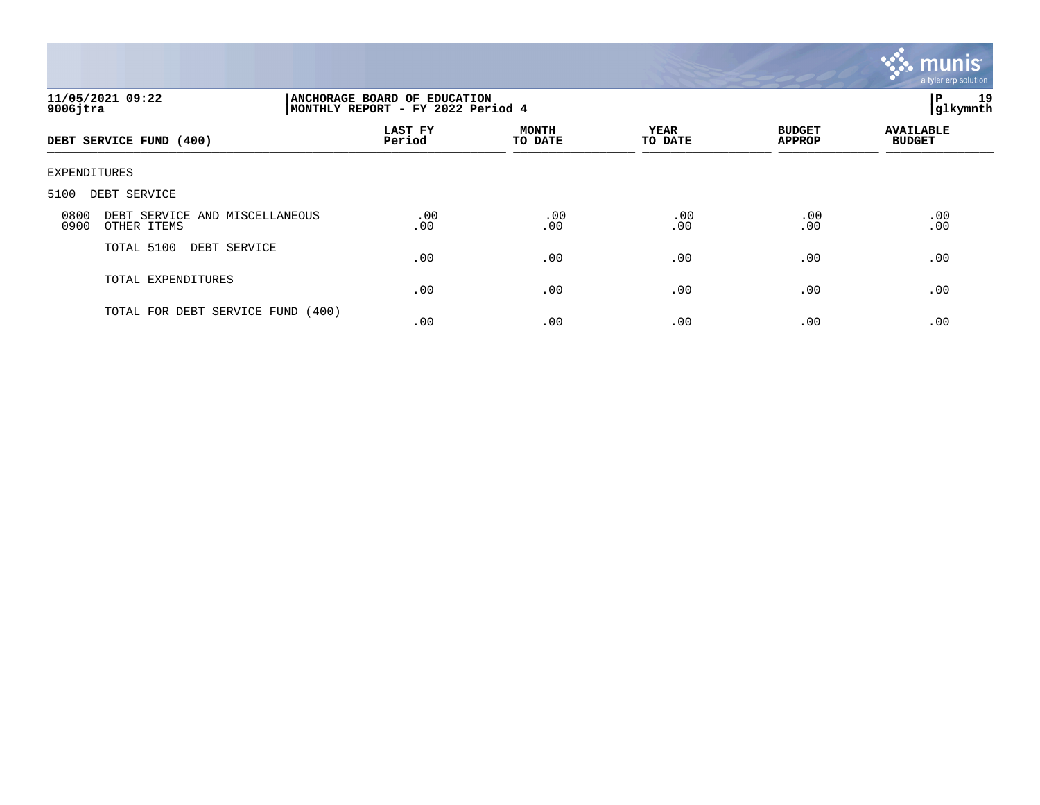

| 11/05/2021 09:22<br>$9006$ jtra                               | ANCHORAGE BOARD OF EDUCATION<br>MONTHLY REPORT - FY 2022 Period 4 |                         |                        |                                |                                   |  |
|---------------------------------------------------------------|-------------------------------------------------------------------|-------------------------|------------------------|--------------------------------|-----------------------------------|--|
| DEBT SERVICE FUND (400)                                       | LAST FY<br>Period                                                 | <b>MONTH</b><br>TO DATE | <b>YEAR</b><br>TO DATE | <b>BUDGET</b><br><b>APPROP</b> | <b>AVAILABLE</b><br><b>BUDGET</b> |  |
| EXPENDITURES                                                  |                                                                   |                         |                        |                                |                                   |  |
| 5100<br>DEBT SERVICE                                          |                                                                   |                         |                        |                                |                                   |  |
| 0800<br>DEBT SERVICE AND MISCELLANEOUS<br>0900<br>OTHER ITEMS | .00<br>.00                                                        | .00<br>.00              | .00<br>.00             | .00<br>.00                     | .00<br>.00                        |  |
| TOTAL 5100<br>DEBT SERVICE                                    | .00                                                               | .00                     | .00                    | .00                            | .00                               |  |
| TOTAL EXPENDITURES                                            | .00                                                               | .00                     | .00                    | .00                            | .00                               |  |
| TOTAL FOR DEBT SERVICE FUND                                   | (400)<br>.00                                                      | .00                     | .00                    | .00                            | .00                               |  |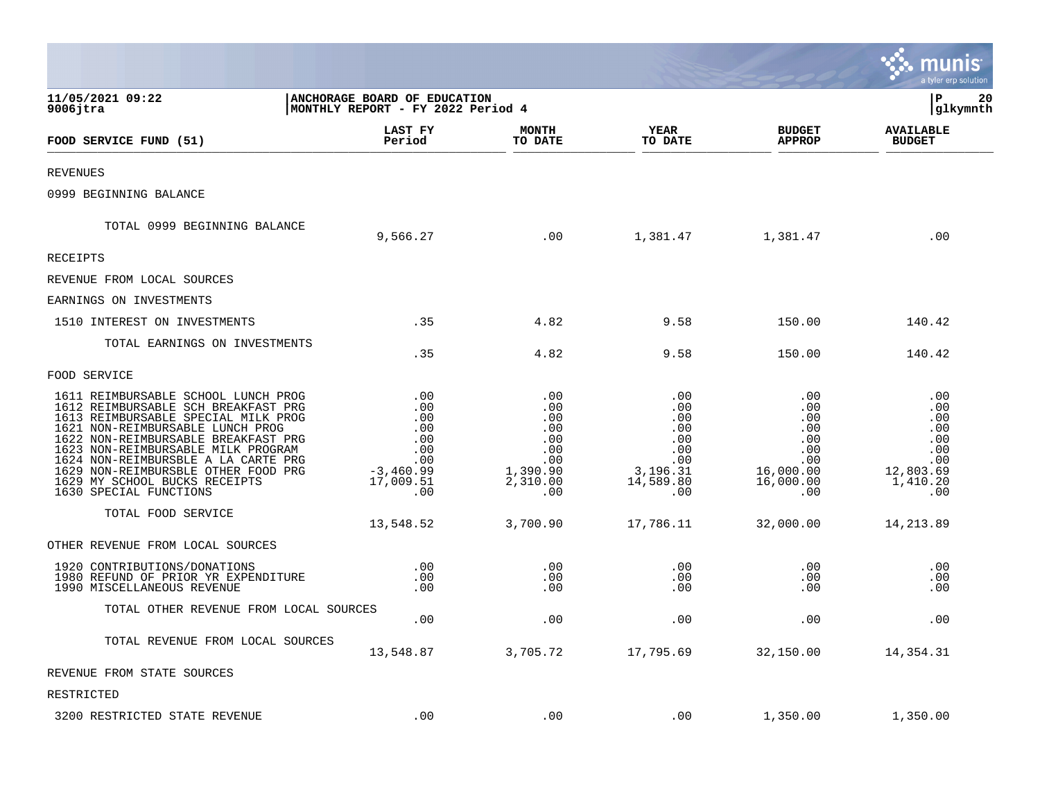|                                                                                                                                                                                                                                                                                                                                                                             |                                                                                  |                                                                              |                                                                               |                                                                                | a tyler erp solution                                                          |
|-----------------------------------------------------------------------------------------------------------------------------------------------------------------------------------------------------------------------------------------------------------------------------------------------------------------------------------------------------------------------------|----------------------------------------------------------------------------------|------------------------------------------------------------------------------|-------------------------------------------------------------------------------|--------------------------------------------------------------------------------|-------------------------------------------------------------------------------|
| 11/05/2021 09:22<br>$9006$ jtra                                                                                                                                                                                                                                                                                                                                             | ANCHORAGE BOARD OF EDUCATION<br>MONTHLY REPORT - FY 2022 Period 4                |                                                                              |                                                                               |                                                                                | ∣P<br>20<br>glkymnth                                                          |
| FOOD SERVICE FUND (51)                                                                                                                                                                                                                                                                                                                                                      | <b>LAST FY</b><br>Period                                                         | <b>MONTH</b><br>TO DATE                                                      | <b>YEAR</b><br>TO DATE                                                        | <b>BUDGET</b><br><b>APPROP</b>                                                 | <b>AVAILABLE</b><br><b>BUDGET</b>                                             |
| <b>REVENUES</b>                                                                                                                                                                                                                                                                                                                                                             |                                                                                  |                                                                              |                                                                               |                                                                                |                                                                               |
| 0999 BEGINNING BALANCE                                                                                                                                                                                                                                                                                                                                                      |                                                                                  |                                                                              |                                                                               |                                                                                |                                                                               |
| TOTAL 0999 BEGINNING BALANCE                                                                                                                                                                                                                                                                                                                                                | 9,566.27                                                                         | .00                                                                          | 1,381.47                                                                      | 1,381.47                                                                       | .00                                                                           |
| RECEIPTS                                                                                                                                                                                                                                                                                                                                                                    |                                                                                  |                                                                              |                                                                               |                                                                                |                                                                               |
| REVENUE FROM LOCAL SOURCES                                                                                                                                                                                                                                                                                                                                                  |                                                                                  |                                                                              |                                                                               |                                                                                |                                                                               |
| EARNINGS ON INVESTMENTS                                                                                                                                                                                                                                                                                                                                                     |                                                                                  |                                                                              |                                                                               |                                                                                |                                                                               |
| 1510 INTEREST ON INVESTMENTS                                                                                                                                                                                                                                                                                                                                                | .35                                                                              | 4.82                                                                         | 9.58                                                                          | 150.00                                                                         | 140.42                                                                        |
| TOTAL EARNINGS ON INVESTMENTS                                                                                                                                                                                                                                                                                                                                               | .35                                                                              | 4.82                                                                         | 9.58                                                                          | 150.00                                                                         | 140.42                                                                        |
| FOOD SERVICE                                                                                                                                                                                                                                                                                                                                                                |                                                                                  |                                                                              |                                                                               |                                                                                |                                                                               |
| 1611 REIMBURSABLE SCHOOL LUNCH PROG<br>1612 REIMBURSABLE SCH BREAKFAST PRG<br>1613 REIMBURSABLE SPECIAL MILK PROG<br>1621 NON-REIMBURSABLE LUNCH PROG<br>1622 NON-REIMBURSABLE BREAKFAST PRG<br>1623 NON-REIMBURSABLE MILK PROGRAM<br>1624 NON-REIMBURSBLE A LA CARTE PRG<br>1629 NON-REIMBURSBLE OTHER FOOD PRG<br>1629 MY SCHOOL BUCKS RECEIPTS<br>1630 SPECIAL FUNCTIONS | .00<br>.00<br>.00<br>.00<br>.00<br>.00<br>.00<br>$-3,460.99$<br>17,009.51<br>.00 | .00<br>.00<br>.00<br>.00<br>.00<br>.00<br>.00<br>1,390.90<br>2,310.00<br>.00 | .00<br>.00<br>.00<br>.00<br>.00<br>.00<br>.00<br>3,196.31<br>14,589.80<br>.00 | .00<br>.00<br>.00<br>.00<br>.00<br>.00<br>.00<br>16,000.00<br>16,000.00<br>.00 | .00<br>.00<br>.00<br>.00<br>.00<br>.00<br>.00<br>12,803.69<br>1,410.20<br>.00 |
| TOTAL FOOD SERVICE                                                                                                                                                                                                                                                                                                                                                          | 13,548.52                                                                        | 3,700.90                                                                     | 17,786.11                                                                     | 32,000.00                                                                      | 14, 213.89                                                                    |
| OTHER REVENUE FROM LOCAL SOURCES                                                                                                                                                                                                                                                                                                                                            |                                                                                  |                                                                              |                                                                               |                                                                                |                                                                               |
| 1920 CONTRIBUTIONS/DONATIONS<br>1980 REFUND OF PRIOR YR EXPENDITURE<br>1990 MISCELLANEOUS REVENUE                                                                                                                                                                                                                                                                           | .00<br>.00<br>.00                                                                | .00<br>.00<br>.00                                                            | .00<br>.00<br>.00                                                             | .00<br>.00<br>.00                                                              | .00<br>.00<br>.00                                                             |
| TOTAL OTHER REVENUE FROM LOCAL SOURCES                                                                                                                                                                                                                                                                                                                                      | .00                                                                              | .00                                                                          | .00                                                                           | .00                                                                            | .00                                                                           |
| TOTAL REVENUE FROM LOCAL SOURCES                                                                                                                                                                                                                                                                                                                                            | 13,548.87                                                                        | 3,705.72                                                                     | 17,795.69                                                                     | 32,150.00                                                                      | 14,354.31                                                                     |
| REVENUE FROM STATE SOURCES                                                                                                                                                                                                                                                                                                                                                  |                                                                                  |                                                                              |                                                                               |                                                                                |                                                                               |
| RESTRICTED                                                                                                                                                                                                                                                                                                                                                                  |                                                                                  |                                                                              |                                                                               |                                                                                |                                                                               |
| 3200 RESTRICTED STATE REVENUE                                                                                                                                                                                                                                                                                                                                               | .00                                                                              | .00                                                                          | .00                                                                           | 1,350.00                                                                       | 1,350.00                                                                      |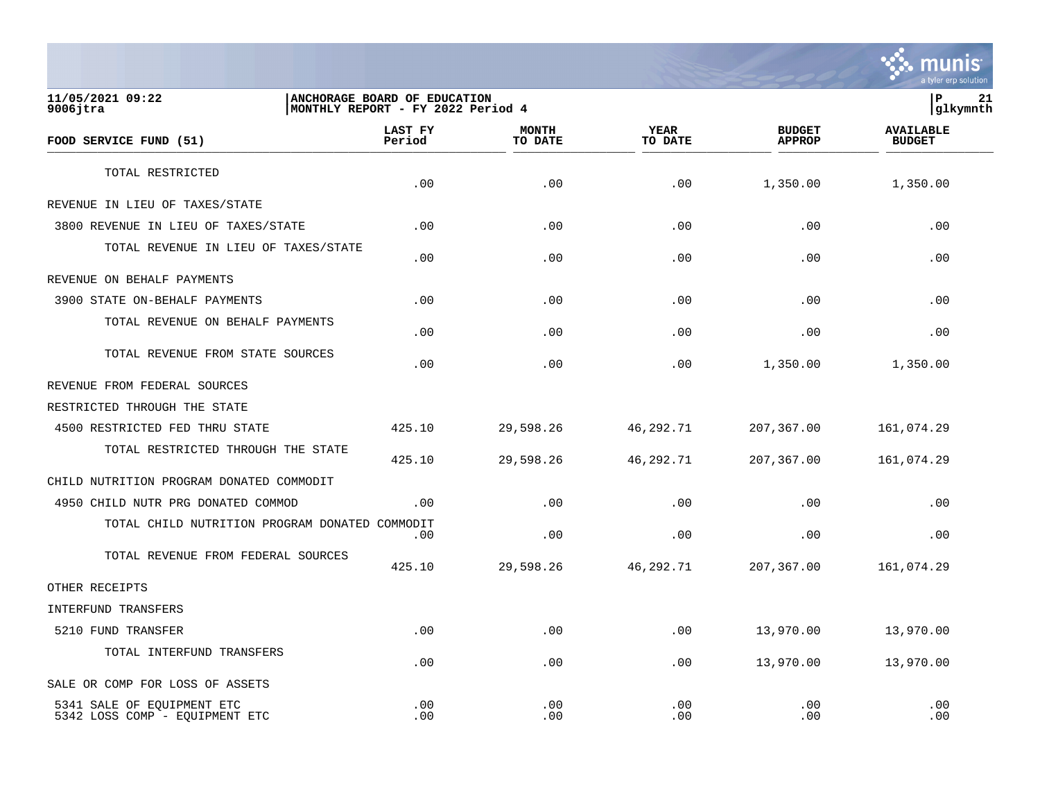

**11/05/2021 09:22 |ANCHORAGE BOARD OF EDUCATION |P 21** MONTHLY REPORT - FY 2022 Period 4  **LAST FY MONTH YEAR BUDGET AVAILABLE FOOD SERVICE FUND (51) Period TO DATE TO DATE APPROP BUDGET**   $\frac{10 \text{ BFR}}{10 \text{ BFR}}$ TOTAL RESTRICTED  $.00$   $.00$   $.00$   $.00$   $.00$   $.00$   $.00$   $.00$   $.00$   $.00$ REVENUE IN LIEU OF TAXES/STATE 3800 REVENUE IN LIEU OF TAXES/STATE .00 .00 .00 .00 .00 TOTAL REVENUE IN LIEU OF TAXES/STATE .00 .00 .00 .00 .00 REVENUE ON BEHALF PAYMENTS 3900 STATE ON-BEHALF PAYMENTS .00 .00 .00 .00 .00 TOTAL REVENUE ON BEHALF PAYMENTS  $.00$  .  $.00$  .  $.00$  .  $.00$  .  $.00$  .  $.00$  .  $.00$  .  $.00$  .  $.00$  .  $.00$  .  $.00$  .  $.00$  .  $.00$  .  $.00$  .  $.00$  .  $.00$  .  $.00$  .  $.00$  .  $.00$  .  $.00$  .  $.00$  .  $.00$  .  $.00$  .  $.00$  .  $.00$  .  $.00$  .  $.00$  .  $.00$ TOTAL REVENUE FROM STATE SOURCES  $.00$   $.00$   $.00$   $.00$   $.00$   $.00$   $.00$   $.00$   $.00$   $.00$ REVENUE FROM FEDERAL SOURCES RESTRICTED THROUGH THE STATE 4500 RESTRICTED FED THRU STATE 425.10 29,598.26 46,292.71 207,367.00 161,074.29 TOTAL RESTRICTED THROUGH THE STATE 425.10 29,598.26 46,292.71 207,367.00 161,074.29 CHILD NUTRITION PROGRAM DONATED COMMODIT 4950 CHILD NUTR PRG DONATED COMMOD .00 .00 .00 .00 .00 TOTAL CHILD NUTRITION PROGRAM DONATED COMMODIT  $.00$  .  $.00$  .  $.00$  .  $.00$  .  $.00$  .  $.00$  .  $.00$  .  $.00$  .  $.00$  .  $.00$  .  $.00$  .  $.00$  .  $.00$  .  $.00$  .  $.00$  .  $.00$  .  $.00$  .  $.00$  .  $.00$  .  $.00$  .  $.00$  .  $.00$  .  $.00$  .  $.00$  .  $.00$  .  $.00$  .  $.00$  .  $.00$ TOTAL REVENUE FROM FEDERAL SOURCES 425.10 29,598.26 46,292.71 207,367.00 161,074.29 OTHER RECEIPTS INTERFUND TRANSFERS 5210 FUND TRANSFER .00 .00 .00 13,970.00 13,970.00 TOTAL INTERFUND TRANSFERS  $.00$   $.00$   $.00$   $.00$   $.00$   $.00$   $.00$   $.00$   $.00$   $.00$ SALE OR COMP FOR LOSS OF ASSETS 5341 SALE OF EQUIPMENT ETC .00 .00 .00 .00 .00

5342 LOSS COMP - EOUIPMENT ETC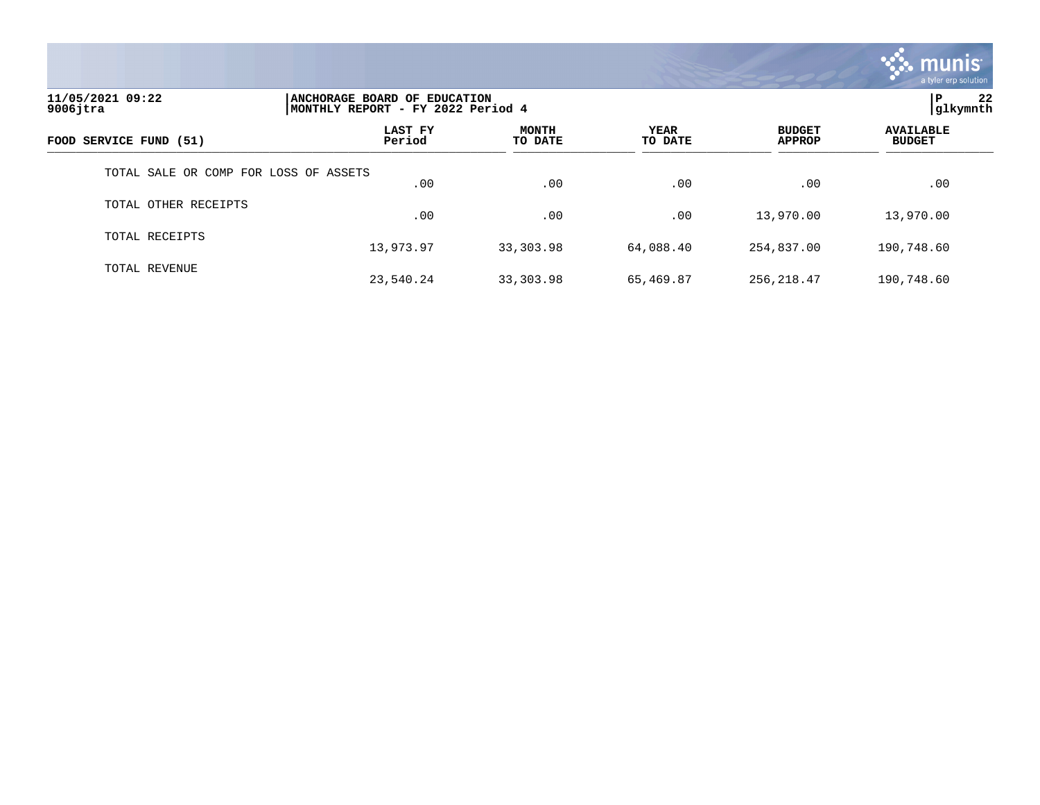

| 11/05/2021 09:22<br>$9006$ jtra       |                   | l P<br>ANCHORAGE BOARD OF EDUCATION<br> glkymnth<br> MONTHLY REPORT - FY 2022 Period 4 |                        |                                |                                   |  |  |
|---------------------------------------|-------------------|----------------------------------------------------------------------------------------|------------------------|--------------------------------|-----------------------------------|--|--|
| FOOD SERVICE FUND (51)                | LAST FY<br>Period | <b>MONTH</b><br>TO DATE                                                                | <b>YEAR</b><br>TO DATE | <b>BUDGET</b><br><b>APPROP</b> | <b>AVAILABLE</b><br><b>BUDGET</b> |  |  |
| TOTAL SALE OR COMP FOR LOSS OF ASSETS | .00               | .00                                                                                    | .00                    | .00                            | .00                               |  |  |
| TOTAL OTHER RECEIPTS                  | .00               | .00                                                                                    | .00                    | 13,970.00                      | 13,970.00                         |  |  |
| TOTAL RECEIPTS                        | 13,973.97         | 33,303.98                                                                              | 64,088.40              | 254,837.00                     | 190,748.60                        |  |  |
| TOTAL REVENUE                         | 23,540.24         | 33,303.98                                                                              | 65,469.87              | 256, 218.47                    | 190,748.60                        |  |  |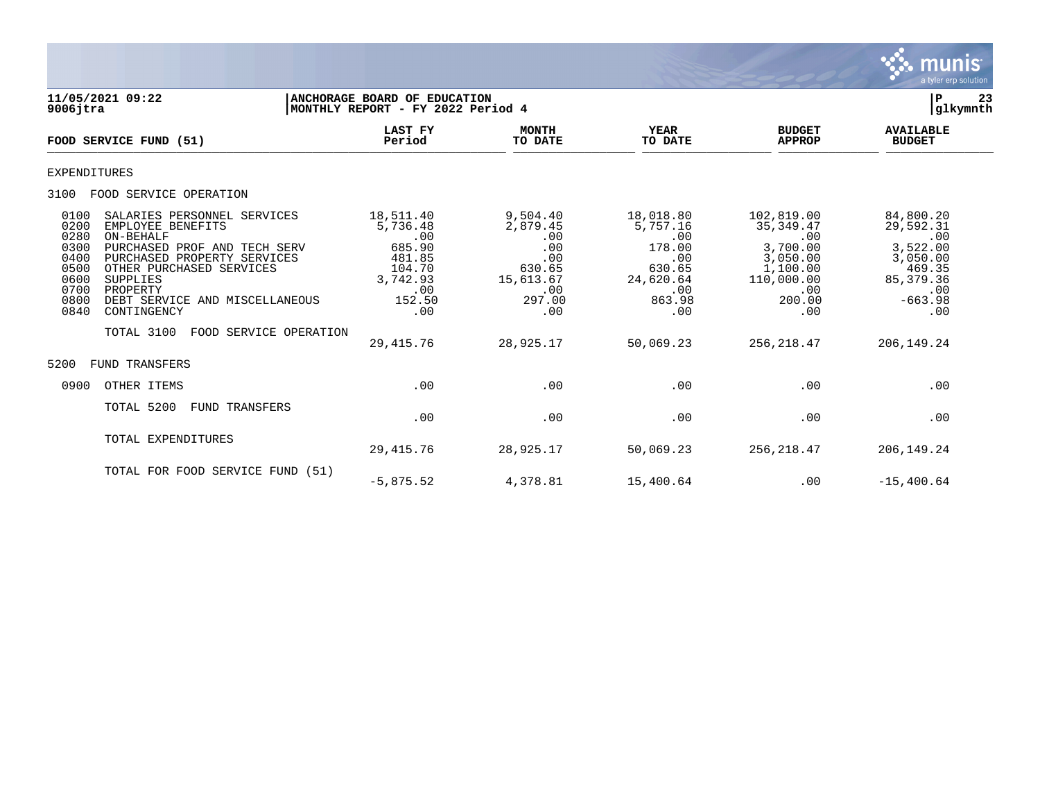

| 11/05/2021 09:22<br>$9006$ jtra                                                                                                                                                                                                                                                                                                                           | ANCHORAGE BOARD OF EDUCATION<br>MONTHLY REPORT - FY 2022 Period 4                                            |                                                                                                       |                                                                                                           |                                                                                                                          | 23<br>P<br> glkymnth                                                                                                     |
|-----------------------------------------------------------------------------------------------------------------------------------------------------------------------------------------------------------------------------------------------------------------------------------------------------------------------------------------------------------|--------------------------------------------------------------------------------------------------------------|-------------------------------------------------------------------------------------------------------|-----------------------------------------------------------------------------------------------------------|--------------------------------------------------------------------------------------------------------------------------|--------------------------------------------------------------------------------------------------------------------------|
| FOOD SERVICE FUND (51)                                                                                                                                                                                                                                                                                                                                    | <b>LAST FY</b><br>Period                                                                                     | <b>MONTH</b><br>TO DATE                                                                               | <b>YEAR</b><br>TO DATE                                                                                    | <b>BUDGET</b><br><b>APPROP</b>                                                                                           | <b>AVAILABLE</b><br><b>BUDGET</b>                                                                                        |
| <b>EXPENDITURES</b>                                                                                                                                                                                                                                                                                                                                       |                                                                                                              |                                                                                                       |                                                                                                           |                                                                                                                          |                                                                                                                          |
| FOOD SERVICE OPERATION<br>3100                                                                                                                                                                                                                                                                                                                            |                                                                                                              |                                                                                                       |                                                                                                           |                                                                                                                          |                                                                                                                          |
| SALARIES PERSONNEL SERVICES<br>0100<br>EMPLOYEE BENEFITS<br>0200<br>ON-BEHALF<br>0280<br>0300<br>PURCHASED PROF AND TECH SERV<br>0400<br>PURCHASED PROPERTY SERVICES<br>OTHER PURCHASED SERVICES<br>0500<br>0600<br>SUPPLIES<br>0700<br>PROPERTY<br>0800<br>DEBT SERVICE AND MISCELLANEOUS<br>0840<br>CONTINGENCY<br>TOTAL 3100<br>FOOD SERVICE OPERATION | 18,511.40<br>5,736.48<br>.00<br>685.90<br>481.85<br>104.70<br>3,742.93<br>.00<br>152.50<br>.00<br>29, 415.76 | 9,504.40<br>2,879.45<br>.00<br>.00<br>.00<br>630.65<br>15,613.67<br>.00<br>297.00<br>.00<br>28,925.17 | 18,018.80<br>5,757.16<br>.00<br>178.00<br>.00<br>630.65<br>24,620.64<br>.00<br>863.98<br>.00<br>50,069.23 | 102,819.00<br>35, 349.47<br>.00<br>3,700.00<br>3,050.00<br>1,100.00<br>110,000.00<br>.00<br>200.00<br>.00<br>256, 218.47 | 84,800.20<br>29,592.31<br>.00<br>3,522.00<br>3,050.00<br>469.35<br>85, 379.36<br>.00<br>$-663.98$<br>.00<br>206, 149. 24 |
| FUND TRANSFERS<br>5200                                                                                                                                                                                                                                                                                                                                    |                                                                                                              |                                                                                                       |                                                                                                           |                                                                                                                          |                                                                                                                          |
| OTHER ITEMS<br>0900                                                                                                                                                                                                                                                                                                                                       | .00                                                                                                          | .00                                                                                                   | .00                                                                                                       | .00                                                                                                                      | .00                                                                                                                      |
| TOTAL 5200<br><b>FUND TRANSFERS</b>                                                                                                                                                                                                                                                                                                                       | .00                                                                                                          | .00                                                                                                   | .00                                                                                                       | .00                                                                                                                      | .00                                                                                                                      |
| TOTAL EXPENDITURES                                                                                                                                                                                                                                                                                                                                        | 29, 415.76                                                                                                   | 28,925.17                                                                                             | 50,069.23                                                                                                 | 256,218.47                                                                                                               | 206, 149. 24                                                                                                             |
| TOTAL FOR FOOD SERVICE FUND (51)                                                                                                                                                                                                                                                                                                                          | $-5,875.52$                                                                                                  | 4,378.81                                                                                              | 15,400.64                                                                                                 | .00                                                                                                                      | $-15,400.64$                                                                                                             |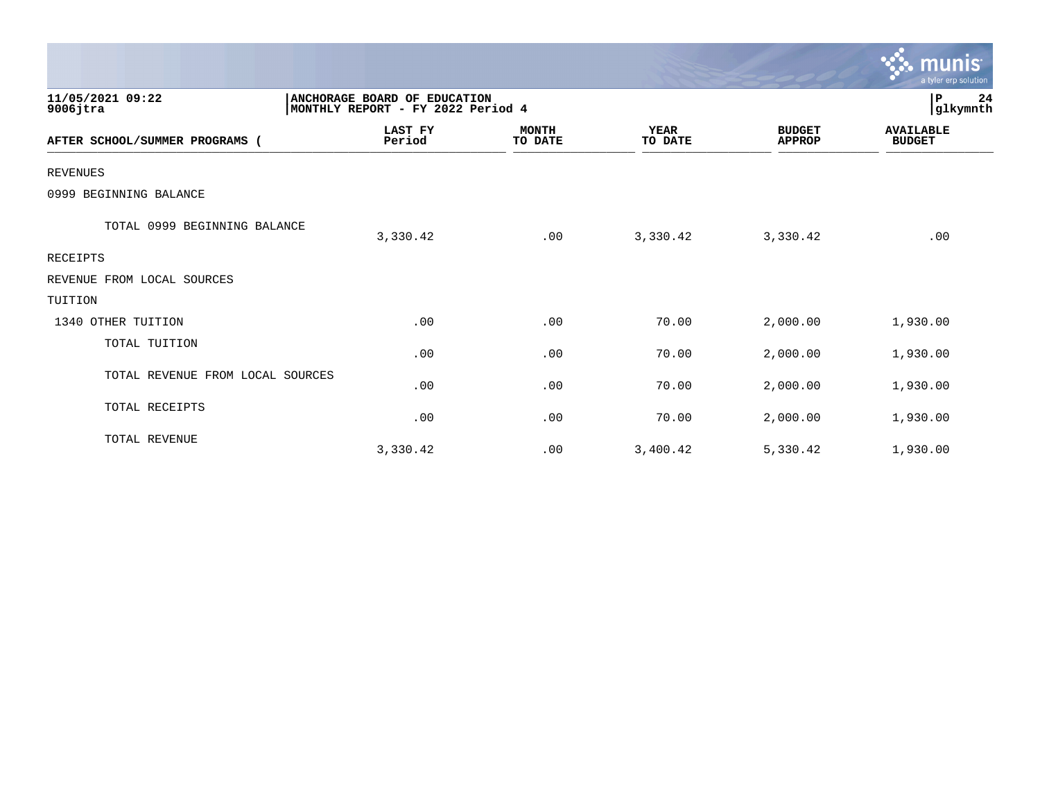|                                  |                                                                   |                         |                        |                                | munis<br>a tyler erp solution     |
|----------------------------------|-------------------------------------------------------------------|-------------------------|------------------------|--------------------------------|-----------------------------------|
| 11/05/2021 09:22<br>$9006$ jtra  | ANCHORAGE BOARD OF EDUCATION<br>MONTHLY REPORT - FY 2022 Period 4 |                         |                        |                                | 24<br>P<br>glkymnth               |
| AFTER SCHOOL/SUMMER PROGRAMS (   | <b>LAST FY</b><br>Period                                          | <b>MONTH</b><br>TO DATE | <b>YEAR</b><br>TO DATE | <b>BUDGET</b><br><b>APPROP</b> | <b>AVAILABLE</b><br><b>BUDGET</b> |
| <b>REVENUES</b>                  |                                                                   |                         |                        |                                |                                   |
| 0999 BEGINNING BALANCE           |                                                                   |                         |                        |                                |                                   |
| TOTAL 0999 BEGINNING BALANCE     | 3,330.42                                                          | .00                     | 3,330.42               | 3,330.42                       | .00                               |
| RECEIPTS                         |                                                                   |                         |                        |                                |                                   |
| REVENUE FROM LOCAL SOURCES       |                                                                   |                         |                        |                                |                                   |
| TUITION                          |                                                                   |                         |                        |                                |                                   |
| 1340 OTHER TUITION               | .00                                                               | .00                     | 70.00                  | 2,000.00                       | 1,930.00                          |
| TOTAL TUITION                    | .00                                                               | .00                     | 70.00                  | 2,000.00                       | 1,930.00                          |
| TOTAL REVENUE FROM LOCAL SOURCES | .00                                                               | .00                     | 70.00                  | 2,000.00                       | 1,930.00                          |
| TOTAL RECEIPTS                   | .00                                                               | .00                     | 70.00                  | 2,000.00                       | 1,930.00                          |
| TOTAL REVENUE                    | 3,330.42                                                          | .00                     | 3,400.42               | 5,330.42                       | 1,930.00                          |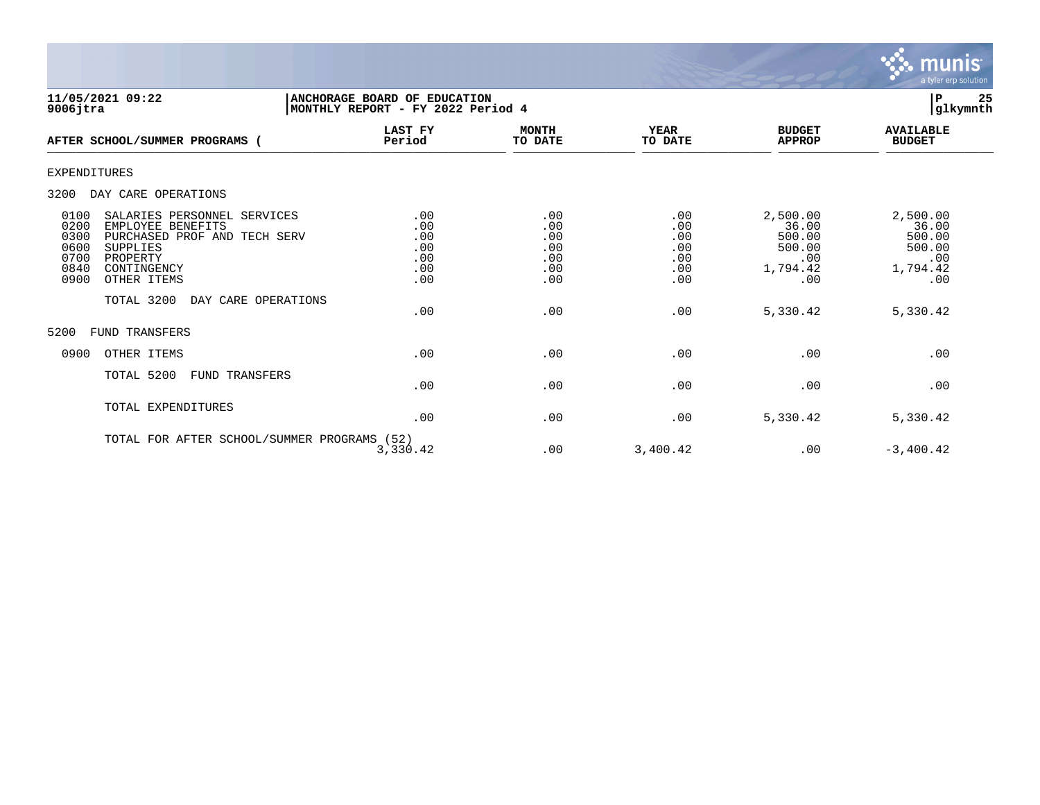

| 11/05/2021 09:22<br>$9006$ jtra                                                                                                                                                                                                     | ANCHORAGE BOARD OF EDUCATION<br>MONTHLY REPORT - FY 2022 Period 4 |                                                      |                                                      |                                                                             | 25<br>P<br>glkymnth                                                         |
|-------------------------------------------------------------------------------------------------------------------------------------------------------------------------------------------------------------------------------------|-------------------------------------------------------------------|------------------------------------------------------|------------------------------------------------------|-----------------------------------------------------------------------------|-----------------------------------------------------------------------------|
| AFTER SCHOOL/SUMMER PROGRAMS (                                                                                                                                                                                                      | <b>LAST FY</b><br>Period                                          | <b>MONTH</b><br>TO DATE                              | <b>YEAR</b><br>TO DATE                               | <b>BUDGET</b><br><b>APPROP</b>                                              | <b>AVAILABLE</b><br><b>BUDGET</b>                                           |
| <b>EXPENDITURES</b>                                                                                                                                                                                                                 |                                                                   |                                                      |                                                      |                                                                             |                                                                             |
| 3200<br>DAY CARE OPERATIONS                                                                                                                                                                                                         |                                                                   |                                                      |                                                      |                                                                             |                                                                             |
| 0100<br>SALARIES PERSONNEL SERVICES<br>0200<br>EMPLOYEE BENEFITS<br>0300<br>PURCHASED PROF AND TECH SERV<br>0600<br>SUPPLIES<br>0700<br>PROPERTY<br>0840<br>CONTINGENCY<br>0900<br>OTHER ITEMS<br>TOTAL 3200<br>DAY CARE OPERATIONS | .00<br>.00<br>.00<br>.00<br>.00<br>.00<br>.00<br>.00              | .00<br>.00<br>.00<br>.00<br>.00<br>.00<br>.00<br>.00 | .00<br>.00<br>.00<br>.00<br>.00<br>.00<br>.00<br>.00 | 2,500.00<br>36.00<br>500.00<br>500.00<br>.00<br>1,794.42<br>.00<br>5,330.42 | 2,500.00<br>36.00<br>500.00<br>500.00<br>.00<br>1,794.42<br>.00<br>5,330.42 |
| 5200<br><b>FUND TRANSFERS</b>                                                                                                                                                                                                       |                                                                   |                                                      |                                                      |                                                                             |                                                                             |
| 0900<br>OTHER ITEMS                                                                                                                                                                                                                 | .00                                                               | .00                                                  | .00                                                  | .00                                                                         | .00                                                                         |
| TOTAL 5200<br><b>FUND TRANSFERS</b>                                                                                                                                                                                                 | .00                                                               | .00                                                  | .00                                                  | .00                                                                         | .00                                                                         |
| TOTAL EXPENDITURES                                                                                                                                                                                                                  | .00                                                               | .00                                                  | .00                                                  | 5,330.42                                                                    | 5,330.42                                                                    |
| TOTAL FOR AFTER SCHOOL/SUMMER PROGRAMS (52)                                                                                                                                                                                         | 3,330.42                                                          | .00                                                  | 3,400.42                                             | .00                                                                         | $-3,400.42$                                                                 |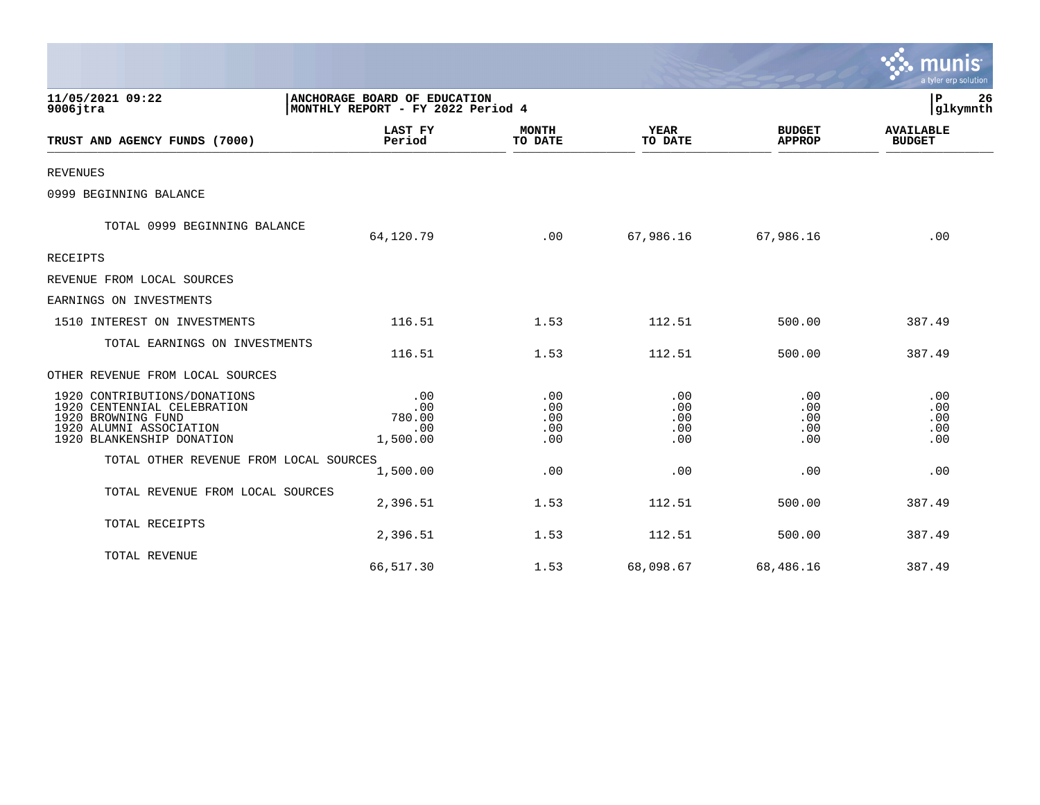|                                                                                                                                           |                                                                   |                                 |                                 |                                 | a tyler erp solution              |
|-------------------------------------------------------------------------------------------------------------------------------------------|-------------------------------------------------------------------|---------------------------------|---------------------------------|---------------------------------|-----------------------------------|
| 11/05/2021 09:22<br>$9006$ jtra                                                                                                           | ANCHORAGE BOARD OF EDUCATION<br>MONTHLY REPORT - FY 2022 Period 4 |                                 |                                 |                                 | 26<br>P<br>glkymnth               |
| TRUST AND AGENCY FUNDS (7000)                                                                                                             | <b>LAST FY</b><br>Period                                          | <b>MONTH</b><br>TO DATE         | <b>YEAR</b><br>TO DATE          | <b>BUDGET</b><br><b>APPROP</b>  | <b>AVAILABLE</b><br><b>BUDGET</b> |
| <b>REVENUES</b>                                                                                                                           |                                                                   |                                 |                                 |                                 |                                   |
| 0999 BEGINNING BALANCE                                                                                                                    |                                                                   |                                 |                                 |                                 |                                   |
| TOTAL 0999 BEGINNING BALANCE                                                                                                              | 64,120.79                                                         | .00                             | 67,986.16                       | 67,986.16                       | .00                               |
| <b>RECEIPTS</b>                                                                                                                           |                                                                   |                                 |                                 |                                 |                                   |
| REVENUE FROM LOCAL SOURCES                                                                                                                |                                                                   |                                 |                                 |                                 |                                   |
| EARNINGS ON INVESTMENTS                                                                                                                   |                                                                   |                                 |                                 |                                 |                                   |
| 1510 INTEREST ON INVESTMENTS                                                                                                              | 116.51                                                            | 1.53                            | 112.51                          | 500.00                          | 387.49                            |
| TOTAL EARNINGS ON INVESTMENTS                                                                                                             | 116.51                                                            | 1.53                            | 112.51                          | 500.00                          | 387.49                            |
| OTHER REVENUE FROM LOCAL SOURCES                                                                                                          |                                                                   |                                 |                                 |                                 |                                   |
| 1920 CONTRIBUTIONS/DONATIONS<br>1920 CENTENNIAL CELEBRATION<br>1920 BROWNING FUND<br>1920 ALUMNI ASSOCIATION<br>1920 BLANKENSHIP DONATION | .00<br>.00<br>780.00<br>.00<br>1,500.00                           | .00<br>.00<br>.00<br>.00<br>.00 | .00<br>.00<br>.00<br>.00<br>.00 | .00<br>.00<br>.00<br>.00<br>.00 | .00<br>.00<br>.00<br>.00<br>.00   |
| TOTAL OTHER REVENUE FROM LOCAL SOURCES                                                                                                    | 1,500.00                                                          | .00                             | .00                             | .00                             | .00                               |
| TOTAL REVENUE FROM LOCAL SOURCES                                                                                                          | 2,396.51                                                          | 1.53                            | 112.51                          | 500.00                          | 387.49                            |
| TOTAL RECEIPTS                                                                                                                            | 2,396.51                                                          | 1.53                            | 112.51                          | 500.00                          | 387.49                            |
| TOTAL REVENUE                                                                                                                             | 66,517.30                                                         | 1.53                            | 68,098.67                       | 68,486.16                       | 387.49                            |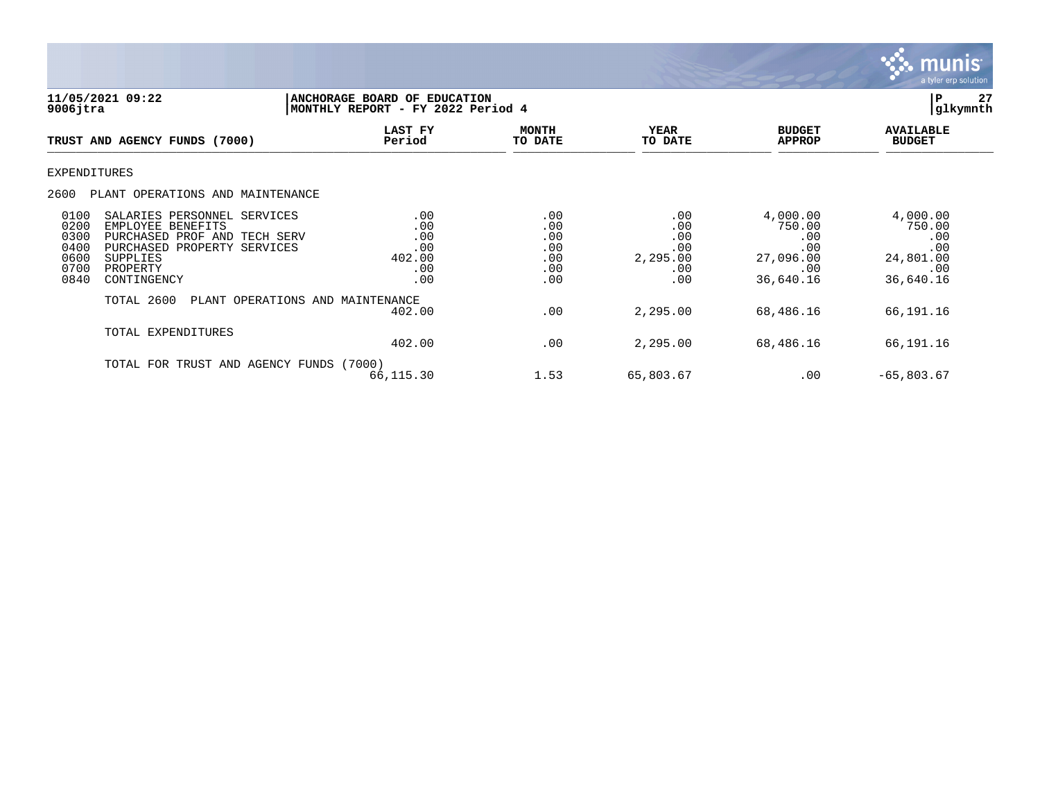

| 11/05/2021 09:22<br>$9006$ jtra                                                                                                                                                                                | P<br>ANCHORAGE BOARD OF EDUCATION<br>glkymnth<br>MONTHLY REPORT - FY 2022 Period 4 |                                               |                                                    |                                                                   |                                                                   |
|----------------------------------------------------------------------------------------------------------------------------------------------------------------------------------------------------------------|------------------------------------------------------------------------------------|-----------------------------------------------|----------------------------------------------------|-------------------------------------------------------------------|-------------------------------------------------------------------|
| TRUST AND AGENCY FUNDS (7000)                                                                                                                                                                                  | LAST FY<br>Period                                                                  | <b>MONTH</b><br>TO DATE                       | <b>YEAR</b><br>TO DATE                             | <b>BUDGET</b><br><b>APPROP</b>                                    | <b>AVAILABLE</b><br><b>BUDGET</b>                                 |
| <b>EXPENDITURES</b>                                                                                                                                                                                            |                                                                                    |                                               |                                                    |                                                                   |                                                                   |
| 2600<br>PLANT OPERATIONS AND MAINTENANCE                                                                                                                                                                       |                                                                                    |                                               |                                                    |                                                                   |                                                                   |
| 0100<br>SALARIES PERSONNEL SERVICES<br>0200<br>EMPLOYEE BENEFITS<br>0300<br>PURCHASED PROF AND TECH SERV<br>0400<br>PURCHASED PROPERTY SERVICES<br>0600<br>SUPPLIES<br>0700<br>PROPERTY<br>0840<br>CONTINGENCY | .00<br>.00<br>.00<br>.00<br>402.00<br>.00<br>.00                                   | .00<br>.00<br>.00<br>.00<br>.00<br>.00<br>.00 | .00<br>.00<br>.00<br>.00<br>2,295.00<br>.00<br>.00 | 4,000.00<br>750.00<br>.00<br>.00<br>27,096.00<br>.00<br>36,640.16 | 4,000.00<br>750.00<br>.00<br>.00<br>24,801.00<br>.00<br>36,640.16 |
| TOTAL 2600                                                                                                                                                                                                     | PLANT OPERATIONS AND MAINTENANCE<br>402.00                                         | .00                                           | 2,295.00                                           | 68,486.16                                                         | 66,191.16                                                         |
| TOTAL EXPENDITURES                                                                                                                                                                                             | 402.00                                                                             | .00                                           | 2,295.00                                           | 68,486.16                                                         | 66,191.16                                                         |
| TOTAL FOR TRUST AND AGENCY FUNDS (7000)                                                                                                                                                                        | 66,115.30                                                                          | 1.53                                          | 65,803.67                                          | .00                                                               | $-65,803.67$                                                      |